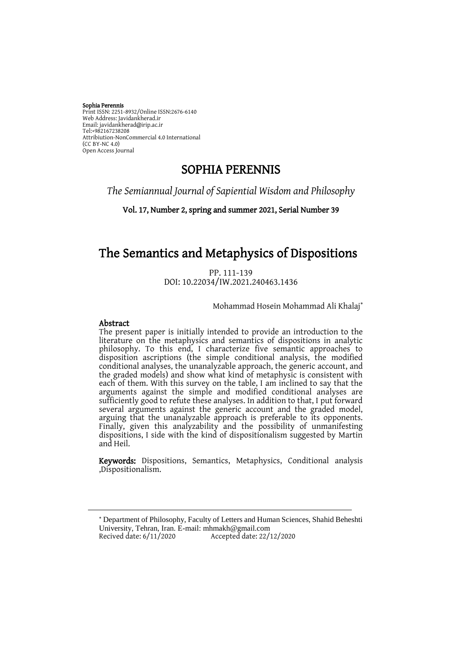#### Sophia Perennis

Print ISSN: 2251-8932/Online ISSN:2676-6140 Web Address: Javidankherad.ir Email[: javidankherad@irip.ac.ir](mailto:javidankherad@irip.ac.ir) [Tel:+982167238208](tel:+982167238208) Attribiution-NonCommercial 4.0 International (CC BY-NC 4.0) Open Access Journal

# SOPHIA PERENNIS

*The Semiannual Journal of Sapiential Wisdom and Philosophy*

Vol. 17, Number 2, spring and summer 2021, Serial Number 39

# The Semantics and Metaphysics of Dispositions

PP. 111-139 DOI: 10.22034/IW.2021.240463.1436

Mohammad Hosein Mohammad Ali Khalaj

#### Abstract

 $\overline{a}$ 

The present paper is initially intended to provide an introduction to the literature on the metaphysics and semantics of dispositions in analytic philosophy. To this end, I characterize five semantic approaches to disposition ascriptions (the simple conditional analysis, the modified conditional analyses, the unanalyzable approach, the generic account, and the graded models) and show what kind of metaphysic is consistent with each of them. With this survey on the table, I am inclined to say that the arguments against the simple and modified conditional analyses are sufficiently good to refute these analyses. In addition to that, I put forward several arguments against the generic account and the graded model, arguing that the unanalyzable approach is preferable to its opponents. Finally, given this analyzability and the possibility of unmanifesting dispositions, I side with the kind of dispositionalism suggested by Martin and Heil.

Keywords: Dispositions, Semantics, Metaphysics, Conditional analysis ,Dispositionalism.

 Department of Philosophy, Faculty of Letters and Human Sciences, Shahid Beheshti University, Tehran, Iran. E-mail[: mhmakh@gmail.com](mailto:mhmakh@gmail.com) Recived date: 6/11/2020 Accepted date: 22/12/2020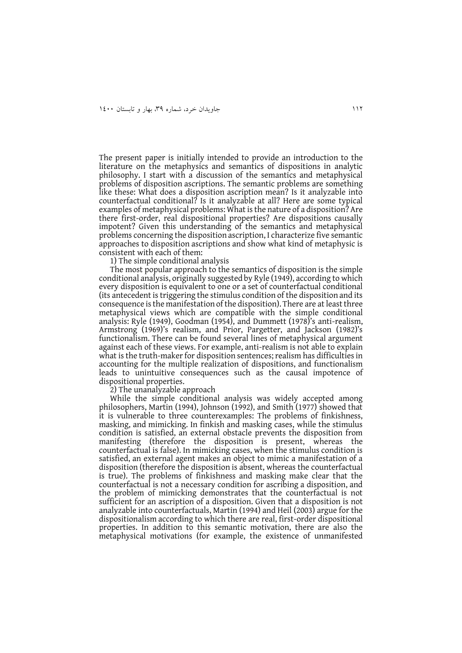The present paper is initially intended to provide an introduction to the literature on the metaphysics and semantics of dispositions in analytic philosophy. I start with a discussion of the semantics and metaphysical problems of disposition ascriptions. The semantic problems are something like these: What does a disposition ascription mean? Is it analyzable into counterfactual conditional? Is it analyzable at all? Here are some typical examples of metaphysical problems: What is the nature of a disposition? Are there first-order, real dispositional properties? Are dispositions causally impotent? Given this understanding of the semantics and metaphysical problems concerning the disposition ascription, I characterize five semantic approaches to disposition ascriptions and show what kind of metaphysic is consistent with each of them:

1) The simple conditional analysis

The most popular approach to the semantics of disposition is the simple conditional analysis, originally suggested by Ryle (1949), according to which every disposition is equivalent to one or a set of counterfactual conditional (its antecedent is triggering the stimulus condition of the disposition and its consequence is the manifestation of the disposition). There are at least three metaphysical views which are compatible with the simple conditional analysis: Ryle (1949), Goodman (1954), and Dummett (1978)'s anti-realism, Armstrong (1969)'s realism, and Prior, Pargetter, and Jackson (1982)'s functionalism. There can be found several lines of metaphysical argument against each of these views. For example, anti-realism is not able to explain what is the truth-maker for disposition sentences; realism has difficulties in accounting for the multiple realization of dispositions, and functionalism leads to unintuitive consequences such as the causal impotence of dispositional properties.

2) The unanalyzable approach

While the simple conditional analysis was widely accepted among philosophers, Martin (1994), Johnson (1992), and Smith (1977) showed that it is vulnerable to three counterexamples: The problems of finkishness, masking, and mimicking. In finkish and masking cases, while the stimulus condition is satisfied, an external obstacle prevents the disposition from manifesting (therefore the disposition is present, whereas the counterfactual is false). In mimicking cases, when the stimulus condition is satisfied, an external agent makes an object to mimic a manifestation of a disposition (therefore the disposition is absent, whereas the counterfactual is true). The problems of finkishness and masking make clear that the counterfactual is not a necessary condition for ascribing a disposition, and the problem of mimicking demonstrates that the counterfactual is not sufficient for an ascription of a disposition. Given that a disposition is not analyzable into counterfactuals, Martin (1994) and Heil (2003) argue for the dispositionalism according to which there are real, first-order dispositional properties. In addition to this semantic motivation, there are also the metaphysical motivations (for example, the existence of unmanifested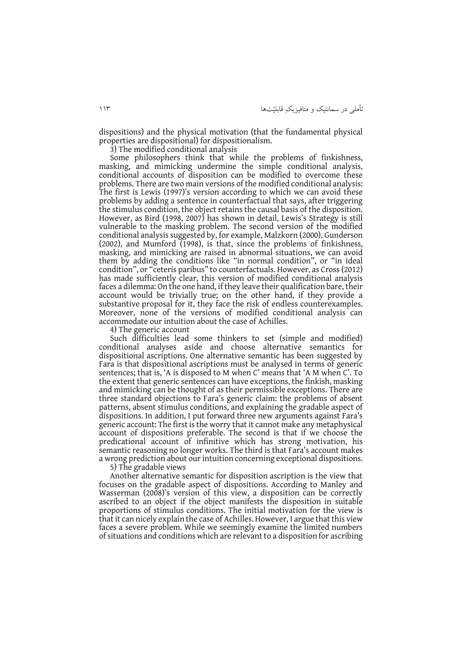dispositions) and the physical motivation (that the fundamental physical properties are dispositional) for dispositionalism.

3) The modified conditional analysis

Some philosophers think that while the problems of finkishness, masking, and mimicking undermine the simple conditional analysis, conditional accounts of disposition can be modified to overcome these problems. There are two main versions of the modified conditional analysis: The first is Lewis (1997)'s version according to which we can avoid these problems by adding a sentence in counterfactual that says, after triggering the stimulus condition, the object retains the causal basis of the disposition. However, as Bird (1998, 2007) has shown in detail, Lewis's Strategy is still vulnerable to the masking problem. The second version of the modified conditional analysis suggested by, for example, Malzkorn (2000), Gunderson (2002), and Mumford (1998), is that, since the problems of finkishness, masking, and mimicking are raised in abnormal situations, we can avoid them by adding the conditions like "in normal condition", or "in ideal condition", or "ceteris paribus" to counterfactuals. However, as Cross (2012) has made sufficiently clear, this version of modified conditional analysis faces a dilemma: On the one hand, if they leave their qualification bare, their account would be trivially true; on the other hand, if they provide a substantive proposal for it, they face the risk of endless counterexamples. Moreover, none of the versions of modified conditional analysis can accommodate our intuition about the case of Achilles.

4) The generic account

Such difficulties lead some thinkers to set (simple and modified) conditional analyses aside and choose alternative semantics for dispositional ascriptions. One alternative semantic has been suggested by Fara is that dispositional ascriptions must be analysed in terms of generic sentences; that is, 'A is disposed to M when C' means that 'A M when C'. To the extent that generic sentences can have exceptions, the finkish, masking and mimicking can be thought of as their permissible exceptions. There are three standard objections to Fara's generic claim: the problems of absent patterns, absent stimulus conditions, and explaining the gradable aspect of dispositions. In addition, I put forward three new arguments against Fara's generic account: The first is the worry that it cannot make any metaphysical account of dispositions preferable. The second is that if we choose the predicational account of infinitive which has strong motivation, his semantic reasoning no longer works. The third is that Fara's account makes a wrong prediction about our intuition concerning exceptional dispositions.

5) The gradable views

Another alternative semantic for disposition ascription is the view that focuses on the gradable aspect of dispositions. According to Manley and Wasserman (2008)'s version of this view, a disposition can be correctly ascribed to an object if the object manifests the disposition in suitable proportions of stimulus conditions. The initial motivation for the view is that it can nicely explain the case of Achilles. However, I argue that this view faces a severe problem. While we seemingly examine the limited numbers of situations and conditions which are relevant to a disposition for ascribing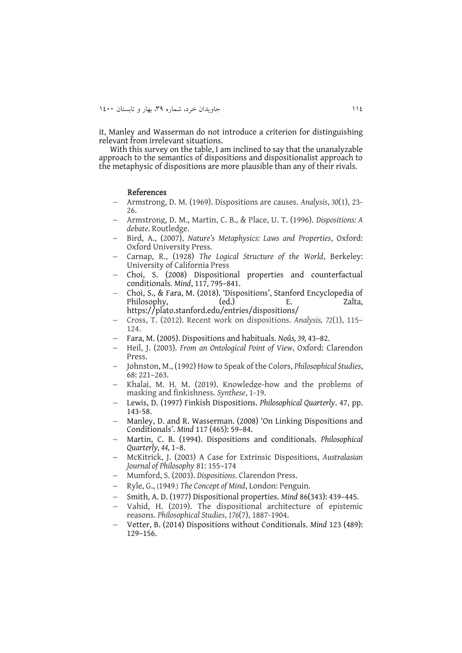it, Manley and Wasserman do not introduce a criterion for distinguishing relevant from irrelevant situations.

With this survey on the table, I am inclined to say that the unanalyzable approach to the semantics of dispositions and dispositionalist approach to the metaphysic of dispositions are more plausible than any of their rivals.

#### References

- Armstrong, D. M. (1969). Dispositions are causes. *Analysis*, *30*(1), 23- 26.
- Armstrong, D. M., Martin, C. B., & Place, U. T. (1996). *Dispositions: A debate*. Routledge.
- Bird, A., (2007), *Nature's Metaphysics: Laws and Properties*, Oxford: Oxford University Press.
- Carnap, R., (1928) *The Logical Structure of the World*, Berkeley: University of California Press
- Choi, S. (2008) Dispositional properties and counterfactual conditionals. *Mind*, 117, 795–841.
- Choi, S., & Fara, M. (2018). 'Dispositions', Stanford Encyclopedia of Philosophy, (ed.) E. Zalta, <https://plato.stanford.edu/entries/dispositions/>
- Cross, T. (2012). Recent work on dispositions. *Analysis, 72*(1), 115– 124.
- Fara, M. (2005). Dispositions and habituals. *Noûs, 39,* 43–82.
- Heil, J. (2003). *From an Ontological Point of View*, Oxford: Clarendon Press.
- Johnston, M., (1992) How to Speak of the Colors, *Philosophical Studies*, 68: 221–263.
- Khalaj, M. H. M. (2019). Knowledge-how and the problems of masking and finkishness. *Synthese*, 1-19.
- Lewis, D. (1997) Finkish Dispositions. *Philosophical Quarterly*. 47, pp. 143-58.
- Manley, D. and R. Wasserman. (2008) 'On Linking Dispositions and Conditionals'. *Mind* 117 (465): 59–84.
- Martin, C. B. (1994). Dispositions and conditionals. *Philosophical Quarterly, 44,* 1–8.
- McKitrick, J. (2003) A Case for Extrinsic Dispositions, *Australasian Journal of Philosophy* 81: 155–174
- Mumford, S. (2003). *Dispositions*. Clarendon Press.
- Ryle, G., (1949.) The Concept of Mind, London: Penguin.
- Smith, A. D. (1977) Dispositional properties. *Mind* 86(343): 439–445.
- Vahid, H. (2019). The dispositional architecture of epistemic reasons. *Philosophical Studies*, *176*(7), 1887-1904.
- Vetter, B. (2014) Dispositions without Conditionals. *Mind* 123 (489): 129–156.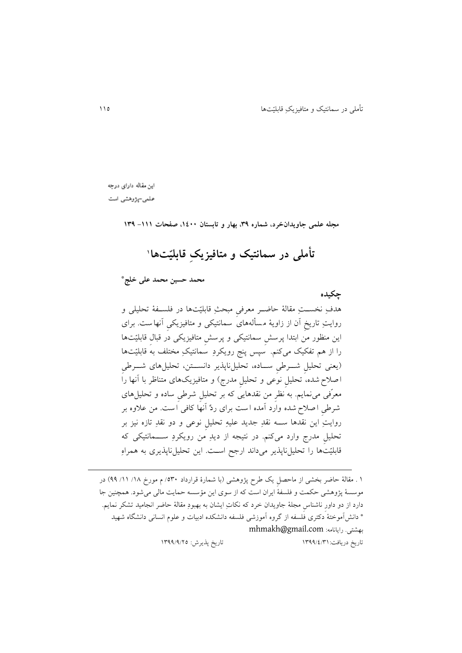اين مقاله دارای درجه

علمی-پژوهشی است

**مجله علمی جاویدانخرد، شماره ،93 بهار و تابستان ،0011 صفحات -000 093**

**<sup>0</sup> تأملی در سمانتیک و متافیزیکِ قابلیّتها**

**محمد حسین محمد علی خلج\***

**چکیده** هدفِ نخســتِ مقالۀ حاضــر معرفی مبحثِ قابلیّتها در فلســفۀ تحلیلی و روايتِ تاريخِ آن از زاويۀ م س ألههای سمانتیکی و متافیزيکیِ آنها ست . برای اين منظور من ابتدا پرسشِ سمانتیکی و پرسشِ متافیزيکی در قبالِ قابلیّتها را از هم تفکیک میکنم. سپس پنج رویکردِ سمانتیکِ مختلف به قابلیّتها (يعنی تحلیل شــرطی ســاده، تحلیلِ ناپذیر دانســتن، تحلیلِهای شــرطی ا صالح شده، تحلیلِ نوعی و تحلیلِ مدرج( و متافیزيکهای متناظر با آنها را معرّفی مینمايم. به نظرِ من نقدهايی که بر تحلیلِ شر یِ ساده و تحلیلهای شر یِ ا صالح شده وارد آمده ا ست برای ردِّ آنها کافی ا ست . من عالوه بر روايتِ اين نقدها ستته نقدِ جديد علیهِ تحلیلِ نوعی و دو نقدِ تازه نیز بر تحلیلِ مدرج وارد میکنم. در نتیجه از ديدِ من رويکردِ ستتتمانتیکی که قابلیّتها را تحلیلناپذير میداند ارجح استت. اين تحلیلناپذيری به همراهِ

1 . مقالۀ حاضر بخشی از ماحصل یک طرح پژوهشی (با شمارۀ قرارداد ٥٣٠/ م مورخ ١٨/ ١١/ ٩٩) در موسسۀ پژوهشی حکمت و فلسفۀ ايران است که از سوی اين مؤسسه حمايت مالی میشود. همچنين جا دارد از دو داورِ ناشناسِ مجلۀ جاويدان خرد که نکاتِ ايشان به بهبودِ مقالۀ حاضر انجامید تشکر نمايم. \* دانش آموختۀ دکتری فلسفه از گروه آموزشی فلسفه دانشکده ادبیات و علوم انسانی دانشگاه شهید [mhmakh@gmail.com](mailto:mhmakh@gmail.com) :رايانامه .بهشتی تاريخ دريافت1933/0/91: تاريخ پذيرش: 1933/3/11

 $\overline{a}$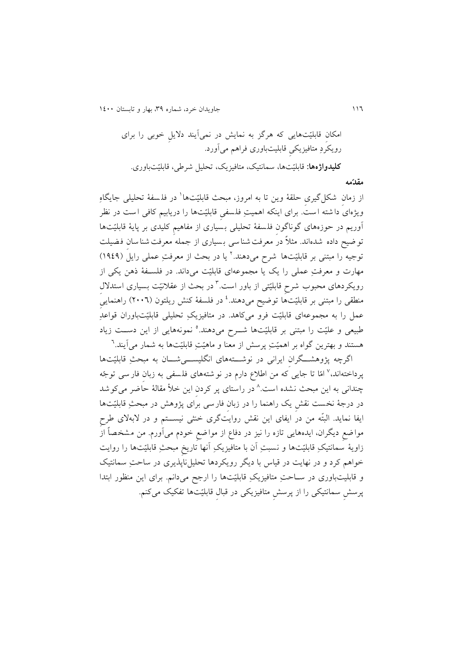111 جاويدان خرد، شماره ،93 بهار و تابستان 1011

امکانِ قابلیّت ها يی که هرگز به نمايش در نمیآيند داليلِ خوبی را برای رويکردِ متافیزيکیِ قابلیتباوری فراهم میآورد. **کلیدواژهها:** قابلیّتها، سمانتیک، متافیزيک، تحلیل شر ی، قابلیّتباوری.

**مقدّمه**

از زمانِ شکل $\mathcal{E}_{\mathbf{x}}$ ی حلقۀ وین تا به امروز، مبحث قابلیّتها` در فلسفۀ تحلیلی جایگاهِ ويژهای دا شته است. برای اينکه اهميتِ فلسفی قابليّتها را دريابيم کافی است در نظر آوریم در حوزههای گوناگون فلسفۀ تحلیلی بسیاری از مفاهیم کلیدی بر پایۀ قابلیّتها تو ضیح داده شدهاند. مثلاً در معرفت شنا سی بسیاری از جمله معرفت شنا سان فضیلت نوجیه را مبتنی بر قابلیّتها شرح میدهند.' یا در بحث از معرفتِ عملی رایل (۱۹٤۹) مهارت و معرفتِ عملی را يک يا مجموعهای قابليّت میداند. در فلسـفهٔ ذهن يکی از رویکردهای محبوب شرحِ قابلیّتی از باور است.<sup>۳</sup> در بحث از عقلانیّت بسیاری استدلالِ منطقی را مبتنی بر قابلیّتها توضیح میدهند.<sup>،</sup> در فلسفهٔ کنش ریلتون (۲۰۰۲) راهنمای*یِ* عمل را به مجموعهای قابلیّت فرو میکاهد. در متافیزيکِ تحلیلی قابلیّتباوران قواعدِ طبیعی و علیّت را مبتنی بر قابلیّتها شـــرح میدهند.<sup>ه</sup> نمونههایی از این دســت زیاد هستند و بهترین گواه بر اهمیّتِ پرسش از معنا و ماهیّتِ قابلیّتها به شمار میآیند.<sup>٦</sup>

اگرچه پژوهشتگران ایرانی در نوشتتههای انگلیستی شان به مبحثِ قابلیّتها پرداختهاند،<sup>۷</sup> امّا تا جایی که من اطلاع دارم در نو شتههای فلسفی به زبانِ فار سی توجّه چندانی به این مبحث نشده است.<sup>۸</sup> در راستای پر کردنِ این خلأ مقالۀ حاضر میکوشد در درجۀ نخست نقشِ يک راهنما را در زبانِ فارسی برای پژوهش در مبحثِ قابلیّتها ايفا نمايد. البتّه من در ايفای اين نقش روايتگری خنثی نيســـتم و در لابهلای طرح مواضعِ ديگران، ايدههايی تازه را نیز در دفاع از مواضعِ خودم میآورم. من مشخصاً از زاويۀ سمانتیکِ قابلیّتها و نسبتِ آن با متافیزيکِ آنها تاريخِ مبحثِ قابلیّتها را روايت خواهم کرد و در نهايت در قياس با ديگر رويکردها تحليلiباپذيری در ساحتِ سمانتيک و قابلیتباوری در ستاحتِ متافیزيکِ قابلیّتها را ارجح میدانم. برای اين منظور ابتدا پرسش سمانتیکی را از پرسش متافیزیکی در قبال قابلیّتها تفکیک میکنم.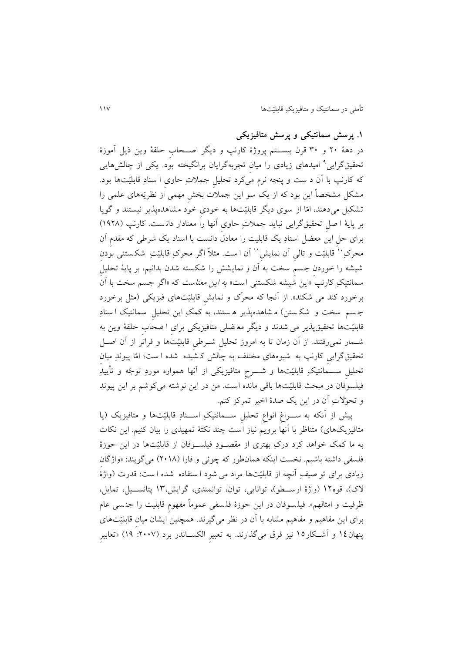**.0 پرسش سمانتیکی و پرسش متافیزیکی**

در دهۀ 11 و 91 قرن بیستتتم پروژۀ کارنپ و ديگر اصتتحابِ حلقۀ وين ذيل آموزۀ نحقیقگرایی<sup>۹</sup> امیدهای زیادی را میانِ تجربهگرایان برانگیخته بود. یکی از چالشهایی که کارنپ با آن د ست و پنجه نرم میکرد تحلیلِ جمالتِ حاویِ ا سنادِ قابلیّتها بود. مشکل مشخصاً اين بود که از يک سو اين جمالت بخشِ مهمی از نظريّههای علمی را تشکیل میدهند، امّا از سوی ديگر قابلیّتها به خودیِ خود مشاهده پذير نیستند و گويا بر پايۀ ا صلِ تحقیقگرايی نبايد جمالتِ حاویِ آنها را معنادار دان ست . کارنپ )1311( برای حل اين معضل اسنادِ يک قابليت را معادل دانست با اسناد يک شرطي که مقدم آن محرکِ `` قابلیّت و تالی اَن نمایش'` اَن است. مثلاً اگر محرکِ قابلیّتِ شکستنی بودن شیشه را خوردنِ جسمِ سخت به آن و نمايشش را شکسته شدن بدانیم، بر پايۀ تحلیلِ سمانتیکِ کارنپ «این شیشه شکستنی است» *به این معناست* که «اگر جسم سخت با آن برخورد کند می شکند». از آنجا که محرّک و نمايشِ قابلیّتهای فیزیکی (مثل برخورد جسم سخت و شکستن) مشاهدهپذیر هستند، به کمکِ این تحلیلِ سمانتیک ا سنادِ قابلیّتها تحقیقپذير می شدند و ديگر مع ضلی متافیزيکی برایِ ا صحابِ حلقۀ وين به شتمار نمیرفتند. از آن زمان تا به امروز تحلیلِ شتر یِ قابلیّتها و فراتر از آن اصتل تحقیقگرايیِ کارنپ به شیوه های مختلف به چالش ک شیده شده ا ست؛ امّا پیوندِ میانِ تحلیلِ ستتمانتیکِ قابلیّتها و شتترحِ متافیزيکی از آنها همواره موردِ توجّه و تأيیدِ فیلسوفان در مبحث قابلیّتها باقی مانده است . من در اين نوشته میکوشم بر اين پیوند و تحوّالتِ آن در اين يک صدۀ اخیر تمرکز کنم.

پیش از آنکه به سـراغ انواع تحلیل ســمانتیکِ اســنادِ قابلیّتها و متافیزیک (یا متافیزیکهای) متناظر با آنها برويم نیاز است چند نکتۀ تمهیدی را بیان کنیم. این نکات به ما کمک خواهد کرد درکِ بهتری از مقصتتودِ فیلستتوفان از قابلیّتها در اين حوزۀ فلسفی داشته باشیم. نخست اینکه همان طور که چوئی و فارا (۲۰۱۸) میگویند: «واژگان زيادی برای تو صیفِ آنچه از قابلیّتها مراد می شود ا ستفاده شده ا ست: قدرت (واژۀ لاک)، قوه1۲ (واژۀ ارسـطو)، توانايی، توان، توانمندی، گرايش،۱۳ پتانســيل، تمايل، ظرفیت و امثالهم». فیلـسوفان در این حوزۀ فلـسفی عموماً مفهوم قابلیت را جنـسی عام برای این مفاهیم و مفاهیم مشابه با آن در نظر میگیرند. همچنین ایشان میان قابلیّتهای پنهان10 و آشتتکار11 نیز فرق میگذارند. به تعبیرِ الکستتاندر برد ):1117 13( »تعابیرِ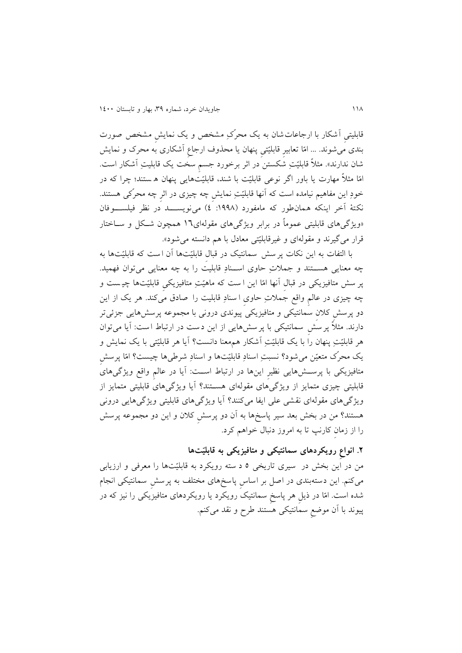قابلیتیِ آشکار با ارجاعاتشان به يک محرّکِ مشخص و يک نمايشِ مشخص صورت بندی میشوند. ... امّا تعابیرِ قابلیّتیِ پنهان يا محذوف ارجاعِ آشکاری به محرک و نمايش شان ندارند». مثلاً قابلیّتِ شکستن در اثر برخورد جسمِ سخت یک قابلیتِ آشکار است. امّا مثالً مهارت يا باور اگر نوعی قابلیّت با شند، قابلیّتهايی پنهان ه ستند؛ چرا که در خودِ اين مفاهيم نیامده است که آنها قابلیّتِ نمایش چه چیزی در اثرِ چه محرّکی هستند. نکتۀ آخر اينکه همان طور که مامفورد (١٩٩٨: ٤) می نويســـد در نظر فيلســــوفان »ويژگیهای قابلیتی عموماً در برابر ويژگیهای مقولهای11 همچون شتکل و ستاختار قرار میگیرند و مقولهای و غیرقابلیّتی معادل با هم دانسته می شود».

با التفات به اين نکات پر سش سمانتیک در قبال قابلیّتها آن است که قابلیّتها به چه معنايی هستتتند و جمالتِ حاوی استتنادِ قابلیت را به چه معنايی میتوان فهمید. پر سش متافیزيکی در قبالِ آنها امّا اين ا ست که ماهیّتِ متافیزيکیِ قابلیّتها چی ست و چه چیزی در عالمِ واقع جمالتِ حاویِ ا سنادِ قابلیت را صادق میکند. هر يک از اين دو پرسش کلان سمانتیکی و متافیزیکی پیوندی درونی با مجموعه پرسش هایی جزئی تر دارند. مثالً پرسشِ سمانتیکی با پرسش هايی از اين د ست در ارتباط ا ست : آيا میتوان هر قابلیّتِ پنهان را با يک قابلیّتِ آشکار هممعنا دانست؟ آيا هر قابلیّتی با يک نمايش و يک محرّک متعیّن میشود؟ نسبتِ اسنادِ قابلیّتها و اسنادِ شر ی ها چیست؟ امّا پرسشِ متافیزيکی با پرستتشهايی نظیرِ اينها در ارتباط استتت: آيا در عالمِ واقع ويژگیهای قابلیتی چیزی متمايز از ويژگیهای مقولهای هستتند؟ آيا ويژگیهای قابلیتی متمايز از ويژگیهای مقولهای نقشی علی ايفا میکنند؟ آيا ويژگیهای قابليتی ويژگیهايی درونی هستند؟ من در بخش بعد سیر پاسخ ها به آن دو پرسشِ کالن و اين دو مجموعه پرس ش را از زمانِ کارنپ تا به امروز دنبال خواهم کرد.

# **.2 انواعِ رویکردهای سمانتیکی و متافیزیکی به قابلیّتها**

من در اين بخش در سیری تاريخی 1 د سته رويکرد به قابلیّتها را معرفی و ارزيابی میکنم. اين دسته بندی در اصل بر اساسِ پاسخ های مختلف به پرسشِ سمانتیکی انجام شده است. امّا در ذيلِ هر پاسخِ سمانتیک رويکرد يا رويکردهای متافیزيکی را نیز که در پیوند با آن موضعِ سمانتیکی هستند رح و نقد میکنم.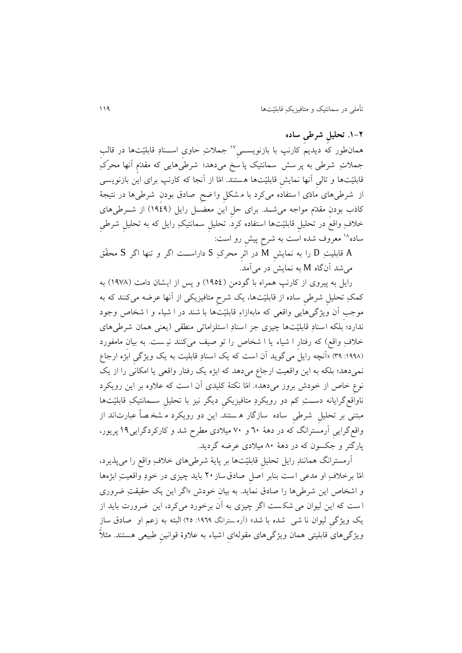**.0-2 تحلیلِ شرطیِ ساده** همان $\det$  ديديم کارنپ با بازنويســيِّ'' جملاتِ حاوي اســنادِ قابليّتها در قالبِ جملاتِ شرطی به پر سش سمانتیک پا سخ میدهد؛ شرطیهایی که مقدّم آنها محرّکِ قابلیّتها و تالیِ آنها نمايشِ قابلیّتها هستند . امّا از آنجا که کارنپ برای اين بازنويسی از شرطیهای مادّی ا ستفاده میکرد با مشکل وا ضح صادق بودن شرطیها در نتیجۀ کاذب بودنِ مقدّم مواجه می شـد. برای حل این معضـل رایل (۱۹٤۹) از شـرطیهای خلافِ واقعٌ در تحلیل قابلیّتها استفاده کرد. تحلیل سمانتیکِ رایل که به تحلیلِ شرطیِ ساده<sup>۱۸</sup> معروف شده است به شرح پیش رو است:

A قابلیتِ D را به نمايشِ M در اثرِ محرکِ S داراستتت اگر و تنها اگر S محقّق میشد آنگاه M به نمايش در میآمد.

رايل به پیروی از کارنپ همراه با گودمن )1310( و پس از ايشان دامت )1371( به کمکِ تحلیلِ شر یِ ساده از قابلیّتها، يک شرحِ متافیزيکی از آنها عرضه میکنند که به موجبِ آن ويژگیهايی واقعی که مابهازاءِ قابلیّتها با شند در ا شیاء و ا شخاص وجود ندارد؛ بلکه اسنادِ قابلیّتها چیزی جز اسنادِ استلزاماتی منطقی (يعنی همان شرطیهای خلافِ واقع) که رفتارِ ا شیاء یا ا شخاص را تو صیف میکنند نیـست. به بیانِ مامفورد ):1331 93( »آنچه رايل میگويد آن است که يک اسنادِ قابلیت به يک ويژگیِ ابژه ارجاع نمیدهد؛ بلکه به اين واقعیت ارجاع میدهد که ابژه يک رفتار واقعی يا امکانی را از يک نوعِ خاص از خودش بروز میدهد«. امّا نکتۀ کلیدی آن ا ست که عالوه بر اين رويکرد ناواقعگرايانه دســتِ کم دو رويکردِ متافيزيکیِ ديگر نيز با تحليلِ ســمانتيکِ قابليّتها مبتنی بر تحلیلِ شر یِ ساده سازگار ه ستند . اين دو رويکرد م شخ صاً عبارتاند از واقعگرايیِ آرمسترانگ که در دهۀ 11 و 71 میالدی مطرح شد و کارکردگرايی13 پريور، پارگتر و جکسون که در دهۀ 11 میالدی عرضه گرديد.

آرمسترانگ همانندِ رايل تحلیلِ قابلیّتها بر پايۀ شر یهای خالفِ واقع را میپذيرد، امّا برخالفِ او مدعی است بنابر اصلِ صادق ساز 11 بايد چیزی در خودِ واقعیتِ ابژهها و اشخاص اين شرطي ها را صادق نمايد. به بيان خودش «اگر اين يک حقيقتِ ضروری ا ست که اين لیوان می شک ست اگر چیزی به آن برخورد میکرد، اين ضرورت بايد از يک ويژگی ليوان نا شي شده با شد» (آرمسترانگ ١٩٦٩: ٢٥) البته به زعم او صادق سازِ ویژگیِهای قابلیتی همان ویژگیِهای مقولهای اشیاء به علاوۀ قوانین طبیعی هستند. مثلاً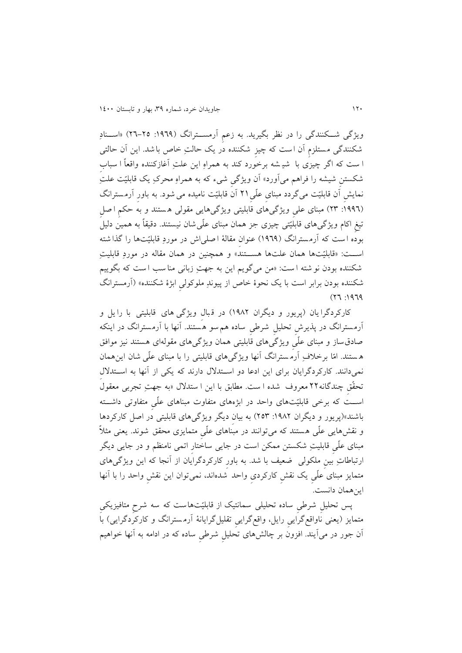ويژگی شــکنندگی را در نظر بگيريد. به زعم آرمســترانگ (١٩٦٩: ٢٥-٢٦) «اســنادِ شکنندگی م ستلزمِ آن ا ست که چیزِ شکننده در يک حالتِ خاص با شد . اين آن حالتی ا ست که اگر چیزی با شی شه برخورد کند به همراهِ اين علتِ آغازکننده واقعاً ا سبابِ شکستنِ شیشه را فراهم میآورد« آن ويژگیِ شی ء که به همراهِ محرکِ يک قابلیّت علتِ نمايشِ آن قابلیّت میگردد مبنایِ علّی11ِ آن قابلیّت نامیده میشود . به باورِ آرم سترانگ ):1331 19( مبنای علیِ ويژگیهای قابلیتی ويژگیهايی مقولی ه ستند و به حکمِ ا صلِ تیغِ اکام ويژگیهای قابلیّتی چیزی جز همان مبنای علّیشان نیستند . دقیقاً به همین دلیل بوده ا ست که آرم سترانگ )1313( عنوانِ مقالۀ ا صلی اش در موردِ قابلیّتها را گذا شته استتت: »قابلیّتها همان علتها هستتتند« و همچنین در همان مقاله در موردِ قابلیتِ شکننده بودن نو شته ا ست : »من میگويم اين به جهتِ زبانی منا سب ا ست که بگويیم شکننده بودن برابر است با يک نحوۀ خاص از پیوندِ ملوکولیِ ابژۀ شکننده« )آرمسترانگ  $(17.1979)$ 

کارکردگرا يان (پريور و ديگران ۱۹۸۲) در قبال ويژگی های قابليتی با را يل و آرمسترانگ در پذيرشِ تحلیلِ شر یِ ساده همسو هستند . آنها با آرمسترانگ در اينکه صادق ساز و مبنای علّیِ ويژگیهای قابلیتی همان ويژگیهای مقولهای هستند نیز موافق ه ستند . امّا برخالفِ آرم سترانگ آنها ويژگیهای قابلیتی را با مبنای علّی شان اينهمان نمیدانند. کارکردگرايان برای اين ادعا دو استتدالل دارند که يکی از آنها به استتداللِ تحقّقِ چندگانه11 معروف شده ا ست . مطابق با اين ا ستدالل »به جهتِ تجربی معقول اسـت که برخی قابلیّتهای واحد در ابژههای متفاوت مبناهای علّی متفاوتی داشـته باشند»(پريور و ديگران ١٩٨٢: ٢٥٣) به بيان ديگر ويژگیهای قابليتی در اصل کارکردها و نقشهايی علّی هستند که میتوانند در مبناهای علّیِ متمايزی محقق شوند . يعنی مثالً مبنای علّیِ قابلیتِ شکستن ممکن است در جايی ساختارِ اتمی نامنظم و در جايی ديگر ارتباطاتِ بینِ ملکولی ضعیف با شد. به باور کارکردگرایان از آنجا که این ویژگیهای متمايز مبنای علّیِ يک نقشِ کارکردیِ واحد شده اند، نمیتوان اين نقشِ واحد را با آنها اينهمان دانست.

پس تحلیلِ شر یِ ساده تحلیلی سمانتیک از قابلیّتهاست که سه شرحِ متافیزيکیِ متمايز (يعنی ناواقعگرايیِ رايل، واقعگرايی تقلیلگرايانۀ آرمسترانگ و کارکردگرايی) باَ آن جور در میآيند. افزون بر چالشهای تحلیلِ شر یِ ساده که در ادامه به آنها خواهیم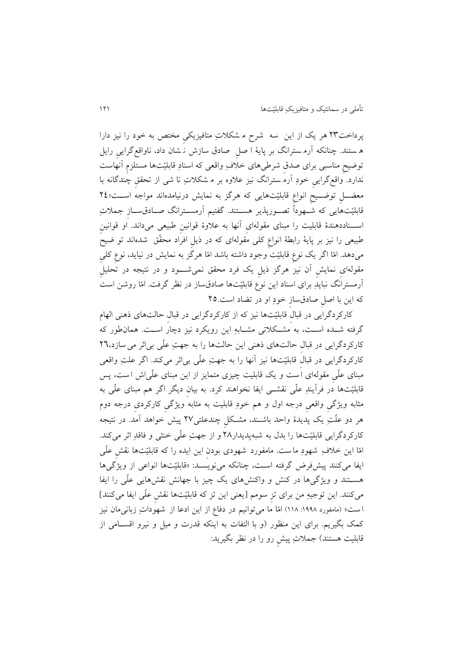پرداخت19 هر يک از اين سه شرح م شکالتِ متافیزيکیِ مختص به خود را نیز دارا ه ستند . چنانکه آرم سترانگ بر پايۀ ا صلِ صادق سازش ن شان داد، ناواقعگرايیِ رايل توضیحِ مناسبی برای صدقِ شر یهای خالفِ واقعی که اسنادِ قابلیّتها مستلزمِ آنهاست ندارد. واقعگرايیِ خودِ آرم سترانگ نیز عالوه بر م شکالتِ نا شی از تحققِ چندگانه با معضتتلِ توضتتیحِ انواعِ قابلیّتهايی که هرگز به نمايش درنیامدهاند مواجه استتت؛10 قابلیّتهایی که شتهوداً تصـورپذیر هســتند. گفتیم آرمســترانگ صــادقســاز جملاتِ استتناددهندۀ قابلیت را مبنای مقولهایِ آنها به عالوۀ قوانینِ بیعی میداند. او قوانینِ بیعی را نیز بر پايۀ رابطۀ انواعِ کلی مقولهای که در ذيلِ افراد محقّق شده اند تو ضیح میدهد. امّا اگر يک نوعِ قابلیّت وجود داشته باشد امّا هرگز به نمايش در نیايد، نوعِ کلیِ مقولهایِ نمايشِ آن نیز هرگز ذيلِ يک فرد محقق نمیشتتتود و در نتیجه در تحلیلِ آرمسترانگ نبايدِ برای اسناد اين نوع قابلیّتها صادقساز در نظر گرفت. امّا روشن است که اين با اصلِ صادقسازِ خودِ او در تضاد است11.

کارکردگرايی در قبالِ قابلیّتها نیز که از کارکردگرايی در قبالِ حالتهای ذهنی الهام گرفته شــده اســت، به مشــکلاتی مشــابهِ اين رويکرد نيز دچارَ اســت. همان $\det$ ور که کارکردگرايی در قبالِ حالتهای ذهنی اين حالتها را به جهتِ علّی بیاثر میسازد، 11 کارکردگرايی در قبالِ قابلیّتها نیز آنها را به جهتِ علّی بیاثر میکند. اگر علتِ واقعی مبنای علّیِ مقولهای ا ست و يک قابلیت چیزی متمايز از اين مبنای علّیاش ا ست، پس قابلیّتها در فرآيندِ علّی نقشــی ايفا نخواهند کرد. به بيان ديگر اگر هم مبنای علّی به مثابه ويژگیِ واقعیِ درجه اول و هم خودِ قابلیت به مثابه ويژگیِ کارکردیِ درجه دوم هر دو علّتِ يک پديدۀ واحد باشتند، مشتکلِ چندعلتی17 پیش خواهد آمد. در نتیجه کارکردگرايی قابلیّتها را بدل به شبه پديدار11 و از جهتِ علّی خنثی و فاقدِ اثر میکند. امّا اين خلافِ شهودِ ما ست. مامفورد شهودی بودن اين ايده را که قابليّتها نقش علّی ايفا میکنند پیشفرض گرفته است، چنانکه مینویسـد: «قابلیّتها انواعی از ویژگیها هستتند و ويژگیها در کنش و واکنشهای يک چیز با جهانش نقشهايی علّی را اي ا میکنند. اين توجيهِ من برای تز سومم [يعنی اين تز که قابلیّتها نقش علّی ايفا میکنند] ا ست» (مامفورد ۱۹۹۸: ۱۱۸) امّا ما میتوانیم در دفاع از این ادعا از شهوداتِ زبانیمان نیز کمک بگیریم. برای اين منظور (و با التفات به اينکه قدرت و ميل و نيرو اقسـامی از قابلیت هستند) جملاتِ پیش رو را در نظر بگیرید: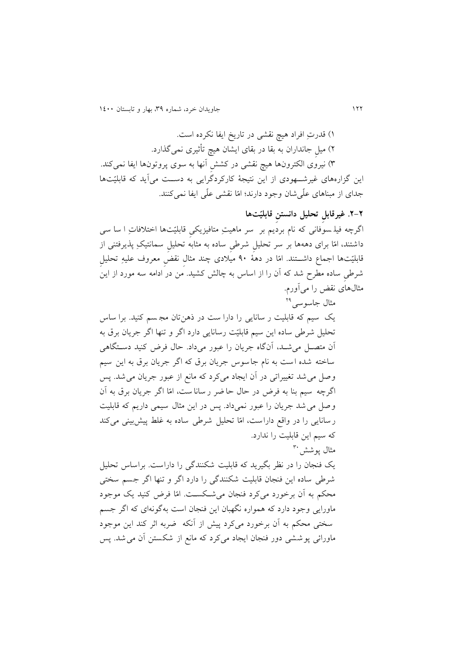111 جاويدان خرد، شماره ،93 بهار و تابستان 1011

1( قدرتِ افراد هیچ نقشی در تاريخ اي ا نکرده است. 1( میلِ جانداران به بقا در بقای ايشان هیچ تأثیری نمیگذارد. ۳) نیروی الکترونها هیچ نقشی در کشش آنها به سوی پروتونها ایفا نمیکند. اين گزارههای غیرشتتهودی از اين نتیجۀ کارکردگرايی به دستتت میآيد که قابلیّتها جدای از مبناهای علّی شان وجود دارند؛ امّا نقشی علّی ایفا نمی کنند.

**.2-2 غیرقابلِ تحلیل دانستنِ قابلیّتها** اگرچه فیل سوفانی که نام برديم بر سر ماهیتِ متافیزيکیِ قابلیّتها اختالفاتِ ا سا سی داشتند، امّا برای دههها بر سر تحلیلِ شر یِ ساده به مثابه تحلیلِ سمانتیکِ پذيرفتنی از قابلیّتها اجماع داشتتتند. امّا در دهۀ 31 میالدی چند مثالِ نقضِ معروف علیهِ تحلیلِ شر یِ ساده مطرح شد که آن را از اساس به چالش کشید . من در ادامه سه مورد از اين مثالهای نقض را میآورم.

مثال جاسوسی<sup>۲۹</sup> يک سیم که قابلیت ر سانايی را دارا ست در ذهنتان مج سم کنید. برا ساس تحلیل شرطی ساده اين سيم قابليّت رسانايی دارد اگر و تنها اگر جريان برق به آن متصتل میشتد، آنگاه جريان را عبور میداد. حال فرض کنید دستتگاهی ساخته شده است به نام جاسوس جريان برق که اگر جريان برق به اين سيم وصل میشد تغییراتی در آن ايجاد میکرد که مانع از عبور جريان میشد . پس اگرچه سیم بنا به فرض در حال حا ضر ر سانا ست، امّا اگر جريان برق به آن وصل میشد جريان را عبور نمیداد. پس در اين مثال سیمی داريم که قابلیت رسانایی را در واقع داراست، امّا تحلیل شرطی ساده به غلط پیشبینی میکند که سیم اين قابلیت را ندارد. مثال پوشش <sup>۳۰</sup> يک فنجان را در نظر بگیريد که قابلیت شکنندگی را داراست . براساس تحلیل

شرطی ساده این فنجان قابلیت شکنندگی را دارد اگر و تنها اگر جسم سختی محکم به آن برخورد میکرد فنجان می شکست. امّا فرض کنید یک موجود ماورايی وجود دارد که همواره نگهبان اين فنجان است بهگونهای که اگر جسم سختی محکم به آن برخورد میکرد پیش از آنکه ضربه اثر کند اين موجود ماورائی پوششی دور فنجان ايجاد میکرد که مانع از شکستن آن می شد. پس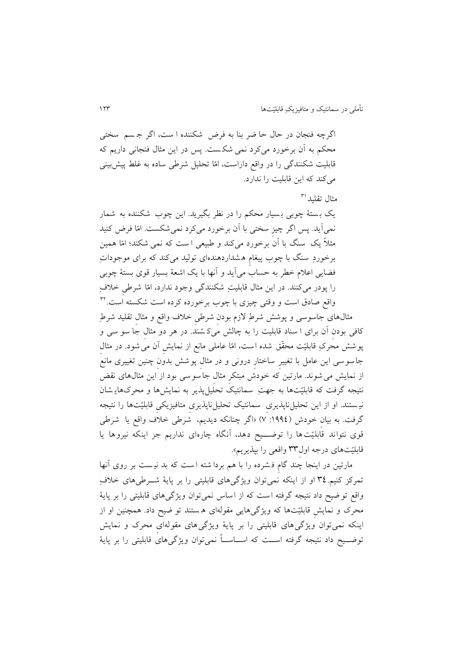اگرچه فنجان در حال حا ضر بنا به فرض شکننده ا ست، اگر ج سم سختی محکم به آن برخورد میکرد نمی شک ست . پس در اين مثال فنجانی داريم که قابلیت شکنندگی را در واقع داراست، امّا تحلیل شر ی ساده به غلط پیشبینی میکند که اين قابليت را ندارد.

مثال تقلید<sup>۳۱</sup>

يک ب ستۀ چوبی ب سیار محکم را در نظر بگیريد. اين چوب شکننده به شمار نمیآيد. پس اگر چیزِ سختی با آن برخورد میکرد نمیشکست . امّا فرض کنید مثالً يک سنگ با آن برخورد میکند و بیعی ا ست که نمی شکند؛ امّا همین برخوردِ سنگ با چوب پیغامِ هشداردهنده ای تولید میکند که برای موجوداتِ فضايی اعالم خطر به حساب میآيد و آنها با يک اشعۀ بسیار قوی بستۀ چوبی را پودر میکنند. در اين مثال قابلیتِ شکنندگی وجود ندارد، امّا شر یِ خالفِ 91 واقع صادق است و وقتی چیزی با چوب برخورده کرده است شکسته است.

مثالهای جاسوسی و پوشش شرطِ الزم بودنِ شر یِ خالف واقع و مثالِ تقلید شرطِ کافی بودنِ آن برای ا سناد قابلیت را به چالش میک شند . در هر دو مثالِ جا سو سی و پوشش محرکِ قابلیّت محقّق شده است، امّا عاملی مانع از نمايشِ آن میشود . در مثالِ جاسوسی اين عامل با تغییرِ ساختارِ درونی و در مثالِ پوشش بدونِ چنین تغییری مانع از نمايش میشوند . مارتین که خودش مبتکرِ مثالِ جاسوسی بود از اين مثالهای نقض نتیجه گرفت که قابلیّتها به جهتِ سمانتیک تحلیلپذير به نمايشها و محرکهاي شان نی ستند . او از اين تحلیلناپذيریِ سمانتیک تحلیلناپذيریِ متافیزيکیِ قابلیّتها را نتیجه گرفت. به بيان خودش (١٩٩٤: ٧) «اگر چنانکه ديديم، شرطي خلاف واقع يا شرطي قوی نتواند قابلیّت ها را توضـــیح دهد، آنگاه چارهای نداریم جز اینکه نیروها یا قابلیّتهای درجه اول99ِ واقعی را بپذيريم«.

مارتین در اينجا چند گامِ ف شرده را با هم بردا شته ا ست که بد نی ست بر روی آنها تمرکز کنیم.٣٤ او از اينکه نمیتوان ويژگیهای قابليتی را بر پايۀ شـوطیهای خلافِ واقع تو ضیح داد نتیجه گرفته ا ست که از اساس نمیتوان ويژگیهای قابلیتی را بر پايۀ محرک و نمايشِ قابلیّتها که ويژگیهايی مقولهای ه ستند تو ضیح داد. همچنین او از اينکه نمیتوان ويژگیهای قابلیتی را بر پايۀ ويژگیهای مقوله ایِ محرک و نمايش توضــيح داد نتيجه گرفته اســت که اســاســاً نمیتوان ويژگیهای قابليتی را بر پايۀ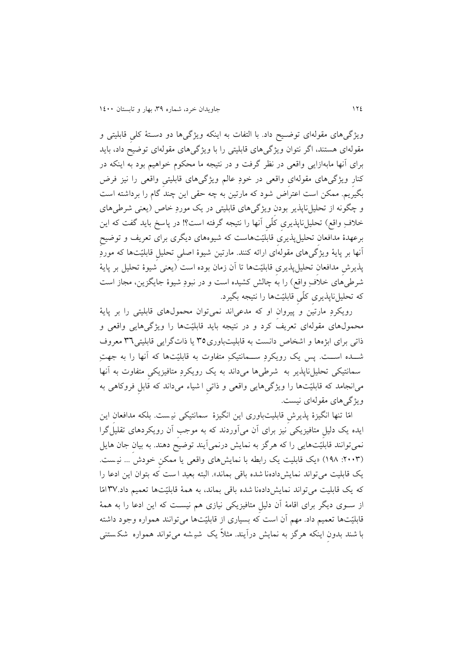ويژگیهای مقولهای توضيح داد. با التفات به اينکه ويژگیها دو دستۀ کلی قابليتی و مقولهای هستند، اگر نتوان ويژگیهای قابلیتی را با ويژگیهای مقولهای توضیح داد، بايد برای آنها مابهازايی واقعی در نظر گرفت و در نتیجه ما محکوم خواهیم بود به اينکه در کنارِ ويژگیهای مقولهایِ واقعی در خودِ عالم ويژگیهای قابلیتیِ واقعی را نیز فرض بگیريم. ممکن است اعتراض شود که مارتین به چه حقی اين چند گام را برداشته است و چگونه از تحلیلiباپذیر بودن ویژگیهای قابلیتی در یک موردِ خاص (يعنی شرطیهای خلافِ واقع) تحلیلِناپذیری کلّی آنها را نتیجه گرفته است؟! در پاسخ باید گفت که این برعهدۀ مدافعانِ تحلیلپذيریِ قابلیّتهاست که شیوه های ديگری برای تعريف و توضیحِ آنها بر پايۀ ويژگیهای مقولهای ارائه کنند. مارتین شیوۀ اصلیِ تحلیلِ قابلیّتها که موردِ پذيرش مدافعان تحلیلپذيری قابلیّتها تا آن زمان بوده است (يعنی شیوۀ تحلیل بر پايۀ شرطیِهای خلافِ واقع) را به چالش کشیده است و در نبودِ شیوۀ جایگزین، مجاز است که تحلیلناپذيریِ کلّیِ قابلیّتها را نتیجه بگیرد.

رويکردِ مارتین و پیروانِ او که مدعی اند نمیتوان محمولهای قابلیتی را بر پايۀ محمولهای مقولهای تعريف کرد و در نتیجه بايد قابلیّتها را ويژگیهايی واقعی و ذاتی برای ابژهها و اشخاص دانست به قابلیتباوری91 يا ذاتگرايی قابلیتی91 معروف شــده اســت. پس يک رويکردِ ســمانتيکِ متفاوت به قابلیّتها که آنها را به جهتِ سمانتیکی تحلیلiپذیر به شرطی،ها میداند به یک رویکردِ متافیزیکی متفاوت به آنها میانجامد که قابلیّتها را ويژگیهايی واقعی و ذاتیِ ا شیاء میداند که قابلِ فروکاهی به ويژگیهای مقولهای نیست.

امّا تنها انگیزۀ پذيرشِ قابلیتباوری اين انگیزۀ سمانتیکی نی ست . بلکه مدافعانِ اين ايده يک دلیلِ متافیزيکی نیز برای آن میآوردند که به موجبِ آن رويکردهای تقلیلگرا نمیتوانند قابلیّتهايی را که هرگز به نمايش درنمیآيند توضیح دهند. به بیانِ جان هايل ):1119 131( »يک قابلیت يک رابطه با نمايشهای واقعی يا ممکنِ خودش ... نی ست . يک قابليت میتواند نمايش دادهنا شده باقی بماند». البته بعيد است که بتوان اين ادعا را که يک قابليت میتواند نمايش دادهنا شده باقی بماند، به همهٔ قابلیّتها تعمیم داد.٣٧امّا از ستوی ديگر برای اقامۀ آن دلیلِ متافیزيکی نیازی هم نیستت که اين ادعا را به همۀ قابلیّتها تعمیم داد. مهم آن است که بسیاری از قابلیّتها میتوانند همواره وجود داشته با شند بدون اينکه هرگز به نمايش درآيند. مثلاً يک شيشه میتواند همواره شکستنی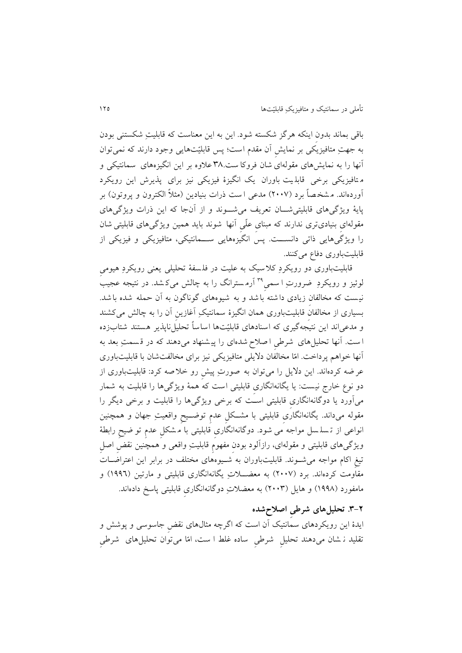باقی بماند بدونِ اينکه هرگز شکسته شود. اين به اين معناست که قابلیتِ شکستنی بودن به جهتِ متافیزيکی بر نمايشِ آن مقدم است؛ پس قابلیّتهايی وجود دارند که نمیتوان آنها را به نمايشهای مقولهای شان فروکا ست 91. عالوه بر اين انگیزههای سمانتیکی و م تافیزيکی برخی قابل یت باوران يک انگیزۀ فیزيکی نیز برای پذيرش اين رويکرد آوردهاند. م شخ صاً برد )1117( مدعی ا ست ذرات بنیادين )مثالً الکترون و پروتون( بر پايۀ ويژگیهای قابلیتیشتتان تعريف میشتتوند و از آنجا که اين ذرات ويژگیهای مقولهایِ بنیادیتری ندارند که مبنایِ علّیِ آنها شوند بايد همین ويژگیهای قابلیتی شان را ويژگیهايی ذاتی دانستتت. پس انگیزههايی ستتمانتیکی، متافیزيکی و فیزيکی از قابلیتباوری دفاع میکنند.

قابلیتباوری دو رويکردِ کلاسيک به علیت در فلسفهٔ تحلیلی يعنی رويکردِ هیومی لوئیز و رویکردِ ضرورتِ ا سمیِ <sup>۳۹</sup> أرمسترانگ را به چالش میکشد. در نتیجه عجیب نیست که مخالفان زیادی داشته با شد و به شیوههای گوناگون به آن حمله شده با شد. بسیاری از مخالفان قابلیتباوری همان انگیزۀ سمانتیکِ آغازین آن را به چالش میکشند و مدعیاند اين نتیجهگیری که اسنادهای قابلیّتها اساساً تحلیلiپذیر هستند شتابزده ا ست. آنها تحلیلهای شرطی اصلاح شدهای را پیشنهاد میدهند که در قسمتِ بعد به آنها خواهم پرداخت. امّا مخالفان دلایلی متافیزیکی نیز برای مخالفتشان با قابلیتباوری عر ضه کردهاند. اين داليل را میتوان به صورتِ پیشِ رو خال صه کرد: قابلیتباوری از دو نوع خارج نیست : يا يگانهانگاریِ قابلیتی است که همۀ ويژگیها را قابلیت به شمار میآورد يا دوگانهانگاریِ قابلیتی استت که برخی ويژگیها را قابلیت و برخی ديگر را مقوله میداند. یگانهانگاری قابلیتی با مشــکل عدم توضــیح واقعیتِ جهان و همچنین انواعی از ت سل سل مواجه می شود . دوگانهانگاریِ قابلیتی با م شکلِ عدمِ تو ضیحِ رابطۀ ویژگیهای قابلیتی و مقولهای، رازآلود بودن مفهومِ قابلیتِ واقعی و همچنین نقضِ اصلِ تیغِ اکام مواجه میشتوند. قابلیتباوران به شتیوههای مختلف در برابر اين اعتراضتات مقاومت کردهاند. برد (۲۰۰۷) به معضـــلاتِ يگانهانگاری قابليتی و مارتين (۱۹۹۲) و مامفورد (۱۹۹۸) و هایل (۲۰۰۳) به معضلاتِ دوگانهانگاری قابلیتی پاسخ دادهاند.

### **.9-2 تحلیلهای شرطیِ اصالحشده**

ايدۀ اين رويکردهای سمانتیک آن است که اگرچه مثالهای نقضِ جاسوسی و پوشش و تقلید ن شان میدهند تحلیل ً شرطی ً ساده غلط ا ست، امّا میتوان تحلیلهای ً شرطی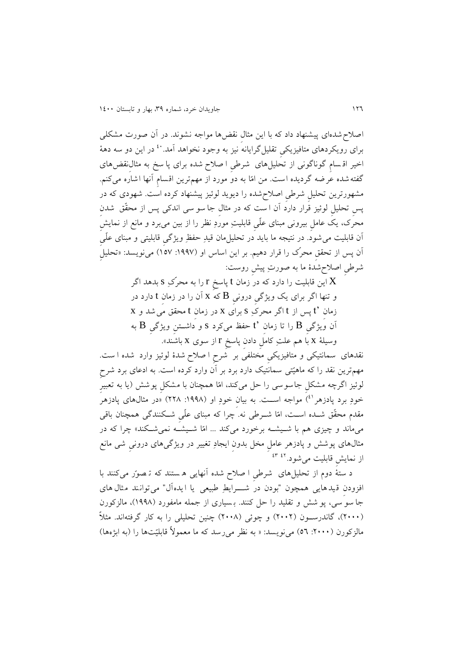اصالح شده ای پیشنهاد داد که با اين مثالِ نقضها مواجه نشوند . در آن صورت مشکلی برای رویکردهای متافیزیک*یِ* تقلیلگرایانه نیز به وجود نخواهد آمد. <sup>۶۰</sup> در این دو سه دههٔ اخیر اق سامِ گوناگونی از تحلیلهای شر یِ ا صالح شده برای پا سخ به مثالِنقضهای گفته شده عرضه گرديده است. من امّا به دو مورد از مهمترين اقسام آنها اشاره میکنم. مشهورترين تحلیلِ شر یِ اصالح شده را ديويد لوئیز پیشنهاد کرده است. شهودی که در پس تحلیل لوئیز قرار دارد آن ا ست که در مثال جا سو سی اندکی پس از محقّق شدن محرک، يک عاملِ بیرونی مبنای علّیِ قابلیتِ موردِ نظر را از بین میبرد و مانع از نمايشِ آن قابلیت می شود. در نتیجه ما باید در تحلیلِمان قیدِ حفظِ ویژگی قابلیتی و مبنای علّی آن پس از تحقق محرّک را قرار دهیم. بر این اساس او (۱۹۹۷: ۱۵۷) می $نویسد: «تحلیلِ$ شر یِ اصالحشدۀ ما به صورتِ پیشِ روست:

> این قابلیت را دارد که در زمان t پاسخ r را به محرّکِ s بدهد اگر  $\mathrm{X}% _{1}\left( \mathcal{A}\right)$ و تنها اگر برای يک ويژگیِ درونیِ B که x آن را در زمانِ t دارد در زمانِ 't پس از t اگر محرکِ s برای x در زمانِ t محقق میشد و x آن ویژگیِ B را تا زمان  $\,$ t حفظ میکرد s و داشــتنِ ویژگیِ  $\, {\bf B} \,$  به وسیلۀ x با هم علتِ کاملِ دادنِ پاسخِ r از سوی x باشند«.

نقدهای سمانتیکی و متافیزیکی مُختلفیُ بر شُرح ا صلاح شدۀ لوئیز وارد شده ا ست. مهمترين نقد را که ماهيّتی سمانتيک دارد برد بر آن وارد کرده است. به ادعای برد شرح لوئیز اگرچه مشکلِ جاسوسی را حل میکند، امّا همچنان با مشکلِ پوشش )يا به تعبیرِ خودِ برد پادزهر<sup>انم</sup>) مواجه اســت. به بیانِ خودِ او (۱۹۹۸: ۲۲۸) «در مثالهای پادزهر مقدم محقّق شــده اســت، امّا شــرطی نه. چرا که مبنای علّی شــکنندگی همچنان باقی میماند و چیزی هم با شتیشته برخورد میکند ... امّا شتیشته نمیشتکند« چرا که در مثالهای پوشش و پادزهر عاملِ مخل بدونِ ايجادِ تغییر در ويژگیهای درونیِ شی مانع از نمايشِ قابليت مىشود.<sup>٤٣ ع</sup>

د ستۀ دوم از تحلیلهای شر یِ ا صالح شده آنهايی ه ستند که ت صوّ ر میکنند با افزودنِ قیدهايی همچون "بودن در شتتترايطِ بیعی يا ايده آل" میتوانند مثال های جا سو سی، پو شش و تقلید را حل کنند. بـسیاری از جمله مامفورد (۱۹۹۸)، مالزکورن )1111(، گاندرستتون )1111( و چوئی )1111( چنین تحلیلی را به کار گرفتهاند. مثالً مالزکورن (۲۰۰۰: ٥٦) می نویسد: « به نظر می رسد که ما معمولاً قابلیّتها را (به ابژهها)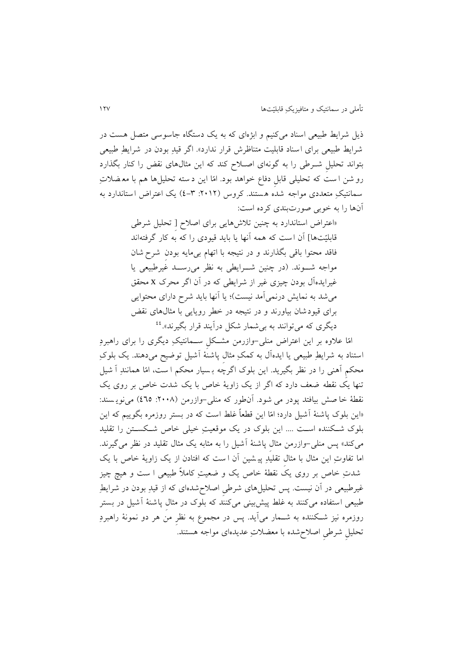ذيل شرايط طبيعی اسناد می کنیم و ابژهای که به يک دستگاه جاسوسی متصل هست در شرايط بیعی برای اسناد قابلیت متناظرش قرار ندارد«. اگر قیدِ بودن در شرايطِ بیعی بتواند تحلیل شـرطی را به گونهای اصـلاح کند که اين مثالهای نقض را کنار بگذارد رو شن ا ست که تحلیلی قابلِ دفاع خواهد بود. امّا اين د سته تحلیلها هم با مع ضالتِ سمانتیکِ متعددی مواجه شده هستند . کروس ):1111 0-9( يک اعتراض استاندارد به آنها را به خوبی صورتبندی کرده است:

> »اعتراض استاندارد به چنین تالشهايی برای اصالح ]ِ تحلیل شر ی قابلیّتها] آن است که همه آنها یا باید قیودی را که به کار گرفتهاند فاقد محتوا باقی بگذارند و در نتیجه با اتهام بیءایه بودن شرح شان مواجه شـوند. (در چنین شـرایطی به نظر می رســد غیرطبیعی یا غیرايدهآل بودن چیزی غیر از شرايطی که در آن اگر محرک x محقق میشد به نمايش درنمیآمد نیست(؛ يا آنها بايد شرح دارای محتوايی برای قیودشان بیاورند و در نتیجه در خطر رويايی با مثالهای نقض ديگری که میتوانند به بیشمار شکل درآيند قرار بگيرند».<sup>٤٤</sup>

امّا عالوه بر اين اعتراض منلی-وازرمن مشتتکلِ ستتمانتیکِ ديگری را برای راهبردِ استناد به شرايطِ بیعی يا ايدهآل به کمکِ مثالِ پاشنۀ آشیل توضیح میدهند. يک بلوکِ محکمِ آهنی را در نظر بگیريد. اين بلوک اگرچه ب سیار محکم ا ست، امّا همانندِ آ شیل تنها يک نقطه ضعف دارد که اگر از يک زاويۀ خاص با يک شدت خاص بر روی يک نقطۀ خا صش بیافتد پودر می شود. آن طور که منلی-وازرمن (۲۰۰۸: ٤٦٥) می نویسند: »اين بلوک پاشنۀ آشیل دارد؛ امّا اين قطعاً غلط است که در بستر روزمره بگويیم که اين بلوک شتکننده استت .... اين بلوک در يک موقعیتِ خیلی خاص شتکستتن را تقلید میکند« پس منلی-وازرمن مثالِ پاشنۀ آشیل را به مثابه يک مثال تقلید در نظر میگیرند. اما تفاوتِ اين مثال با مثال تقليدِ پيـشين آن ا ست که افتادن از يک زاويۀ خاص با يک شدتِ خاص بر روی يک نقطۀ خاص يک و ضعیتِ کامالً بیعی ا ست و هیچ چیز غیرطبیعی در آن نیست. پس تحلیلهای شرطی اصلاح شدهای که از قیدِ بودن در شرایطِ طبیعی استفاده میکنند به غلط پیشبینی میکنند که بلوک در مثال پاشنۀ آشیل در بستر روزمره نیز شتکننده به شتمار میآيد. پس در مجموع به نظرِ من هر دو نمونۀ راهبردِ تحلیلِ شر یِ اصالحشده با معضالتِ عديدهای مواجه هستند.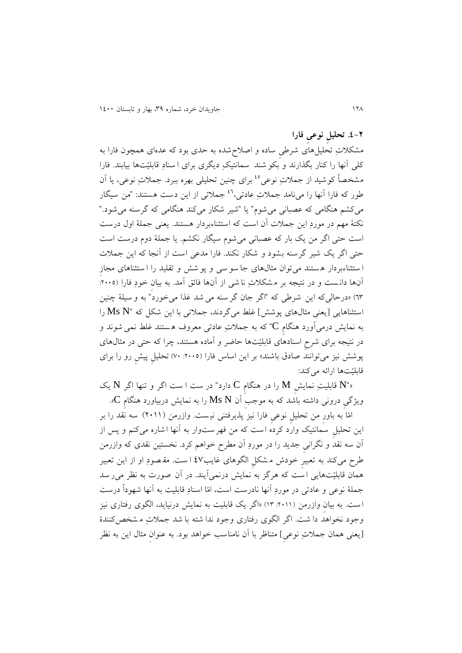**.0-2 تحلیلِ نوعیِ فارا**

مشکالتِ تحلیلهای شر یِ ساده و اصالح شده به حدی بود که عدهای همچون فارا به کلی آنها را کنار بگذارند و بکو شند سمانتیکِ ديگری برای ا سنادِ قابلیّتها بیابند. فارا مشخصاً کوشید از جملاتِ نوعی<sup>،،</sup> برای چنین تحلیلی بهره ببرد. جملاتِ نوعی، یا آن طور که فارا آنها را میiامد جملاتِ عادتی،<sup>۶٬</sup> جملاتی از این دست هستند: "من سیگار می کشم هنگامی که عصبانی می شوم" يا "شير شکار می کند هنگامی که گرسنه می شود." نکتۀ مهم در موردِ اين جمالت آن است که استثناءبردار هستند . يعنی جملۀ اول درس ت است حتی اگر من يک بار که عصبانی میشوم سیگار نکشم . يا جملۀ دوم درست است حتی اگر يک شیر گرسنه بشود و شکار نکند. فارا مدعی است از آنجا که اين جمالت ا ستثناءبردار ه ستند میتوان مثالهای جا سو سی و پو شش و تقلید را ا ستثناهای مجازِ آنها دانست و در نتیجه بر مشکلاتِ نا شی از آنها فائق آمد. به بیان خودِ فارا (۲۰۰۵: ٦٣) «درحالیکه این شرطی که "اگر جان گر سنه می شد غذا میخورد" به و سیلۀ چنین استثناهايی [يعنی مثالهای پوشش] غلط میگردند، جملاتی با اين شکل که "Ms N را به نمايش درمیآورد هنگامِ C "که به جمالتِ عادتی معروف ه ستند غلط نمی شوند و در نتیجه برای شرحِ اسنادهای قابلیّتها حاضر و آماده هستند، چرا که حتی در مثالهای پوشش نیز میتوانند صادق باشند» بر این اساس فارا (۲۰۰۵: ۷۰) تحلیل پیش رو را برای قابلیّتها ارائه میکند:

»"N قابلیتِ نمايشِ M را در هنگامِ C دارد" در ست ا ست اگر و تنها اگر N يک ويژگیِ درونی داشته باشد که به موجبِ آن N Ms را به نمايش دربیاورد هنگامِ C».

امّا به باورِ من تحلیلِ نوعیِ فارا نیز پذيرفتنی نی ست . وازرمن )1111( سه نقد را بر اين تحلیلِ سمانتیک وارد کرده است که من فهرست وار به آنها اشاره میکنم و پس از آن سه نقد و نگرانیِ جديد را در موردِ آن مطرح خواهم کرد. نخستین نقدی که وازرمن رح میکند به تعبیرِ خودش م شکلِ الگوهای غايب07 ا ست . مق صودِ او از اين تعبیر همان قابلیّتهايی ا ست که هرگز به نمايش درنمیآيند. در آن صورت به نظر میر سد جملۀ نوعی و عادتی در موردِ آنها نادرست است، امّا اسنادِ قابلیت به آنها شهوداً درست است. به بيان وازرمن (٢٠١١: ١٣) «اگر يک قابليت به نمايش درنيايد، الگوی رفتاری نيز وجود نخواهد دا شت . اگر الگوی رفتاری وجود ندا شته با شد جمالتِ م شخص کنندۀ ]يعنی همان جمالتِ نوعیِ[ متناظر با آن نامناسب خواهد بود. به عنوانِ مثال اين به نظر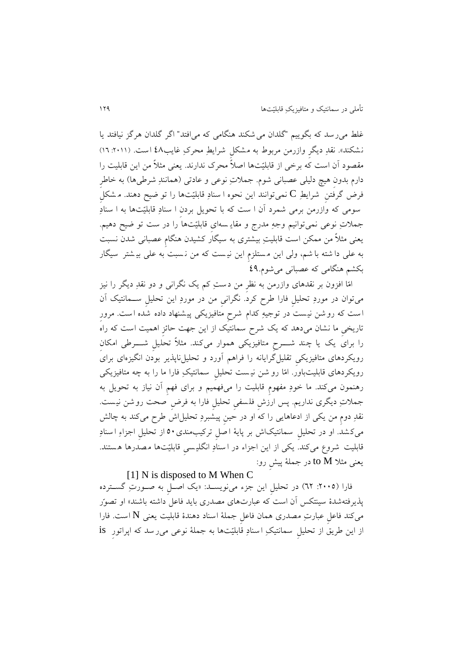غلط میرسد که بگويیم "گلدان میشکند هنگامی که میافتد" اگر گلدان هرگز نیافتد يا نشکند». نقدِ ديگرِ وازرمن مربوط به مشکلِ شرايطِ محرکِ غايب12 است. (٢٠١١: ١٦) مقصود آن است که برخی از قابلیّتها اصالً محرک ندارند. يعنی مثالً من اين قابلیت را دارم بدونِ هیچ دلیلی عصبانی شوم. جملاتِ نوعی و عادتی (همانندِ شرطی۱ها) به خاطر فرض گرفتنِ شرايطِ C نمیتوانند اين نحوه ا سنادِ قابلیّتها را تو ضیح دهند. م شکلِ سومی که وازرمن برمی شمرد آن ا ست که با تحويل بردنِ ا سنادِ قابلیّتها به ا سنادِ جمالتِ نوعی نمیتوانیم وجهِ مدرج و مقاي سه ایِ قابلیّتها را در ست تو ضیح دهیم. یعنی مثلاً من ممکن است قابلیتِ بیشتری به سیگار کشیدن هنگام عصبانی شدن نسبت به علی دا شته با شم، ولی اين م ستلزمِ اين نی ست که من ن سبت به علی بی شت ر سیگار بکشم هنگامی که عصبانی میشوم03.

امّا افزون بر نقدهای وازرمن به نظرِ من دستِ کم يک نگرانی و دو نقدِ ديگر را نیز میتوان در موردِ تحلیلِ فارا رح کرد. نگرانیِ من در موردِ اين تحلیلِ ستتمانتیک آن است که روشن نیست در توجیهِ کدام شرحِ متافیزيکی پیشنهاد داده شده است . مرورِ تاريخیِ ما نشان میدهد که يک شرح سمانتیک از اين جهت حائزِ اهمیت است که راه را برای يک يا چند شــــرحِ متافيزيکی هموار میکند. مثلاً تحليل شــــرطی امکان رويکردهای متافیزيکیِ تقلیلگرايانه را فراهم آورد و تحلیلناپذير بودن انگیزهای برای رويکردهای قابلیتباور. امّا رو شن نی ست تحلیلِ سمانتیکِ فارا ما را به چه متافیزيکی رهنمون میکند. ما خودِ مفهوم قابلیت را میفهمیم و برای فهم آن نیاز به تحویل به جملاتِ ديگری نداريم. پس ارزشِ فلسفیِ تحليلِ فارا به فرضِ صحت روشن نیست. نقدِ دومِ من يکی از ادعاهايی را که او در حين پيشبردِ تحليل!ش طرح میکند به چالش میک شد . او در تحلیلِ سمانتیک اش بر پايۀ ا صلِ ترکیبمندی11 از تحلیلِ اجزاءِ ا سنادِ قابلیت شروع میکند. یکی از این اجزاء در ا سنادِ انگلیسی قابلیّتها مصدرها هستند. یعنی مثلا to M در جملۀ پیش رو:

### [1] N is disposed to M When C

فارا ):1111 11( در تحلیلِ اين جزء مینويستد: »يک اصتلِ به صتورتِ گستترده پذيرفتهشدۀ سينتکس آن است که عبارتهای مصدری بايد فاعل داشته باشند» او تصوّر میکند فاعلِ عبارتِ مصدری همان فاعلِ جملۀ اسناد دهندۀ قابلیت يعنی N است . فارا از این طریق از تحلیلِ سمانتیکِ اسنادِ قابلیّتها به جملۀ نوعی می ِرسد که اپراتورِ is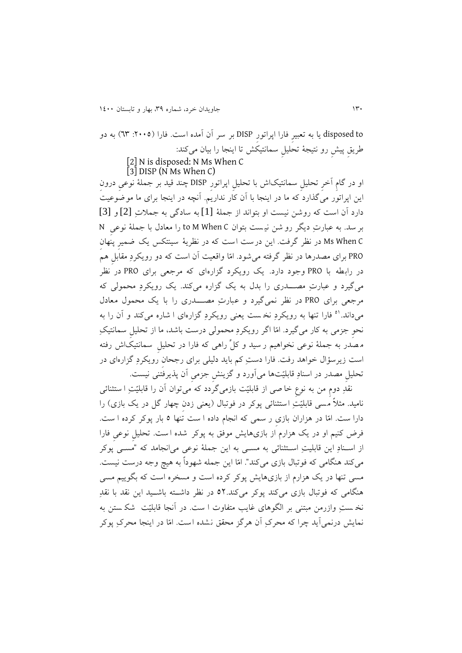disposed to يا به تعبيرِ فارا اپراتورِ DISP بر سر آن آمده است. فارا (٢٠٠٥: ٦٣) به دو ريقِ پیشِ رو نتیجۀ تحلیلِ سمانتیکش تا اينجا را بیان میکند: [2] N is disposed: N Ms When C  $[3]$  DISP (N Ms When C)

او در گامِ آخرِ تحلیلِ سمانتیکاش با تحلیلِ اپراتورِ DISP چند قید بر جملۀ نوعیِ درونِ اين اپراتور میگذارد که ما در اينجا با آن کار نداريم. آنچه در اينجا برای ما موضوعیت دارد آن است که روشن نیست او بتواند از جملۀ [1] به سادگی به جمالتِ [2] و [3] بر سد . به عبارتِ ديگر رو شن نی ست بتوان C When M to را معادل با جملۀ نوعیِ N C When Ms در نظر گرفت. اين درست است که در نظريۀ سینتکس يک ضمیرِ پنهانِ PRO برای مصدرها در نظر گرفته میشود . امّا واقعیت آن است که دو رويکردِ مقابلِ هم در رابطه با PRO وجود دارد. يک رويکرد گزارهای که مرجعی برای PRO در نظر میگیرد و عبارتِ مصتتدری را بدل به يک گزاره میکند. يک رويکردِ محمولی که مرجعی برای PRO در نظر نمیگیرد و عبارتِ مصتتتدری را با يک محمول معادل میداند.<sup>۵۱</sup> فارا تنها به رویکردِ نخست یعنی رویکردِ گزارهای ا شاره میکند و آن را به نحوِ جزمی به کار میگیرد. امّا اگر رویکردِ محمولی درست باشد، ما از تحلیل سمانتیکِ م صدر به جملۀ نوعی نخواهیم ر سید و کلِّ راهی که فارا در تحلیلِ سمانتیک اش رفته است زيرس ؤال خواهد رفت. فارا دستِ کم بايد دلیلی برای رجحانِ رويکردِ گزارهای در تحلیلِ مصدر در اسنادِ قابلیّتها میآورد و گزينشِ جزمیِ آن پذيرفتنی نیست.

نقدِ دومِ من به نوعِ خا صی از قابلیّت بازمیگردد که میتوان آن را قابلیّتِ ا ست ثنائی نامید. مثلاً مسی قابلیّتِ استثنائی پوکر در فوتبال (يعنی زدن چهار گل در يک بازی) را دارا ست . امّا در هزاران بازیِ ر سمی که انجام داده ا ست تنها 1 بار پوکر کرده ا ست . فرض کنیم او در يک هزارم از بازیهايش موفق به پوکر شده ا ست . تحلیلِ نوعیِ فارا از استنادِ اين قابلیتِ استتثنائی به مستی به اين جملۀ نوعی میانجامد که "مستی پوکر میکند هنگامی که فوتبال بازی میکند". امّا اين جمله شهوداً به هیچ وجه درست نیست. مسی تنها در يک هزارم از بازیهايش پوکر کرده است و مسخره است که بگويیم مسی هنگامی که فوتبال بازی میکند پوکر میکند11. در نظر داشتتته باشتتید اين نقد با نقدِ نخ ستِ وازرمن مبتنی بر الگوهای غايب متفاوت ا ست. در آنجا قابلیّت ً شک ستن به نمايش درنمیآيد چرا که محرکِ آن هرگز محقق نشده است . امّا در اينجا محرکِ پوکر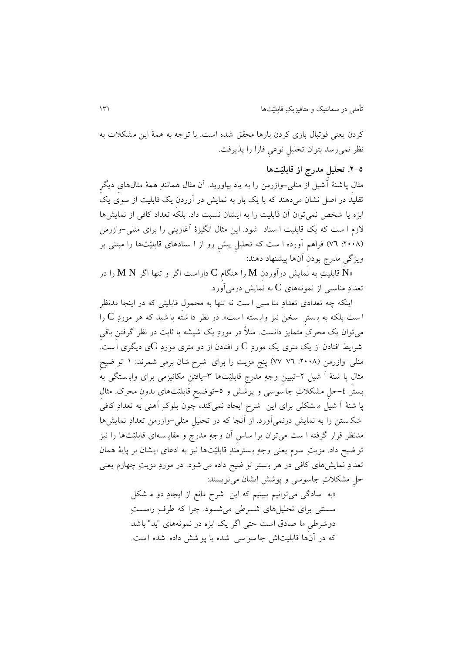کردن يعنی فوتبال بازی کردن بارها محقق شده است . با توجه به همۀ اين مشکالت به نظر نمیرسد بتوان تحلیلِ نوعیِ فارا را پذيرفت.

### **.2-5 تحلیلِ مدرج از قابلیّتها**

مثالِ پاشنۀ آشیل از منلی-وازرمن را به ياد بیاوريد. آن مثال همانندِ همۀ مثالهایِ ديگرِ تقلید در اصل نشان میدهند که با يک بار به نمايش در آوردنِ يک قابلیت از سو ی يک ابژه يا شخص نمیتوان آن قابلیت را به ايشان نسبت داد. بلکه تعداد کافی از نمايشها الزم ا ست که يک قابلیت ا سناد شود . اين مثال انگیزۀ آغازينی را برای منلی-وازرمن ):1111 71( فراهم آورده ا ست که تحلیلِ پیشِ رو از ا سنادهای قابلیّتها را مبتنی بر ويژگیِ مدرج بودنِ آنها پیشنهاد دهند:

ا قابلیتِ به نمایش درآوردن  $\bf M$  را هنگام  $\bf C$  داراست اگر و تنها اگر  $\bf M$  را در M قابلیتِ به نمایش تعدادِ مناسبی از نمونههای  $\rm C$  به نمايش درمیآورد.

اينکه چه تعدادی تعدادِ منا سبی ا ست نه تنها به محمولِ قابلیتی که در اينجا مدنظر ا ست بلکه به بسترِ سخن نیز وابسته ا ست». در نظر دا شته با شید که هر موردِ C را میتوان يک محرکِ متمايز دانست . مثالً در موردِ يک شیشه با ثابت در نظر گرفتنِ باقیِ شرايط افتادن از يک متری يک موردِ  $\rm C$  و افتادن از دو متری موردِ  $\rm C$ ی ديگری است. منلی-وازرمن (۲۰۰۸: ۷۲–۷۷) پنج مزيت را برای شرح شان برمی شمرند: ۱-تو ضیح مثالِ پا شنۀ آ شیل -1تبیینِ وجهِ مدرجِ قابلیّتها -9يافتنِ مکانیزمی برای واب ستگی به بستر ٤–حلِ مشکلاتِ جاسوسی و پوشش و ٥–توضیحِ قابلیّتهای بدونِ محرک. مثال پا شنۀ آ شیل م شکلی برای اين شرح ايجاد نمیکند، چون بلوکِ آهنی به تعدادِ کافی شک ستن را به نمايش درنمیآورد. از آنجا که در تحلیلِ منلی-وازرمن تعدادِ نمايشها مدنظر قرار گرفته ا ست میتوان برا ساسِ آن وجهِ مدرج و مقاي سه ای قابلیّتها را نیز تو ضیح داد. مزيتِ سوم يعنی وجهِ بسترمندِ قابلیّتها نیز به ادعای ايشان بر پايۀ همان تعدادِ نمايشهای کافی در هر ب ستر تو ضیح داده می شود . در موردِ مزيتِ چهارم يعنی حلِ مشکالتِ جاسوسی و پوشش ايشان مینويسند:

«به سادگی میتوانیم ببینیم که این شرح مانع از ایجادِ دو م شکل ســنتی برای تحلیلهای شــرطی میشــود. چرا که طرفِ راســتِ دوشر یِ ما صادق است حتی اگر يک ابژه در نمونههای "بد" باشد که در آنها قابلیتاش جا سو سی شده يا پو شش داده شده ا ست .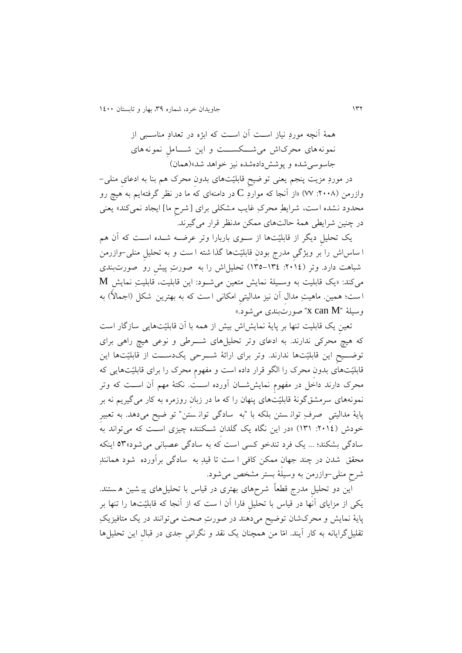همۀ آنچه موردِ نیاز استتت آن استتت که ابژه در تعدادِ مناستتبی از نمونه های محرکاش میشتتتکستتتت و اين شتتتاملِ نمونه های جاسوسیشده و پوششدادهشده نیز خواهد شد«)همان(

در موردِ مزيت پنجم يعنی تو ضیحِ قابلیّتهای بدونِ محرک هم بنا به ادعایِ منلی- وازرمن (۲۰۰۸: ۷۷) «از آنجا که مواردِ  ${\bf C}$  در دامنهای که ما در نظر گرفتهايم به هیچ رو محدود نشده است، شرايطِ محرکِ غايب مشکلی برای ]شرحِ ما[ ايجاد نمیکند« يعنی در چنین شرايطی همۀ حالتهای ممکن مدنظر قرار میگیرند.

يک تحلیلِ ديگر از قابلیّتها از ستوی باربارا وتر عرضته شتده استت که آن هم ا ساس اش را بر ويژگیِ مدرج بودنِ قابلیّتها گذا شته ا ست و به تحلیلِ منلی-وازرمن شباهت دارد. وتر ):1110 191-190( تحلیلاش را به صورتِ پیشِ رو صورت بندی  ${\bf M}$  میکند: «يک قابليت به وسـيلۀ نمايش متعين میشـود: اين قابليتِ نمايش  ${\bf M}$ ا ست؛ همین. ماهیتِ مدال آن نیز مدالیتی امکانی ا ست که به بهترین شکل (اجمالاً) به وسیلۀ "X can  $\rm M^{\scriptscriptstyle -}$  صورتبندی میشود.»

تعین يک قابليت تنها بر پايۀ نمايشاش بيش از همه با آن قابليّتهايی سازگار است که هیچ محرکی ندارند. به ادعای وتر تحلیلهای شـــرطی و نوعی هیچ راهی برای توضتتیحِ اين قابلیّتها ندارند. وتر برای ارائۀ شتترحی يکدستتت از قابلیّتها اين قابلیّتهای بدونِ محرک را الگو قرار داده است و م هومِ محرک را برای قابلیّتهايی که محرک دارند داخل در مفهومِ نمايششــان آورده اســـت. نکتۀ مهم آن اســت که وتر نمونههای سرمشق گونۀ قابلیّتهای پنهان را که ما در زبانِ روزمره به کار میگیريم نه بر پايۀ مدالیتیِ صرفِ توان ستن بلکه با "به سادگی توان ستن " تو ضیح میدهد. به تعبیرِ خودش (٢٠١٤: ١٣١) «در اين نگاه يک گلدان شــکننده چيزی اســت که میتواند به سادگی بشکند؛ ... یک فرد تندخو کسی است که به سادگی عصبانی می شود»۵۳ اینکه محقق شدن در چند جهانِ ممکن کافی ا ست تا قیدِ به سادگی برآورده شود همانندِ شرحِ منلی-وازرمن به وسیلۀ بستر مشخص میشود.

این دو تحلیل مدرج قطعاً شرحهای بهتری در قیاس با تحلیلِهای پیشین هستند. يکی از مزايای آنها در قیاس با تحلیلِ فارا آن ا ست که از آنجا که قابلیّتها را تنها بر پايۀ نمايش و محرکشان توضیح میدهند در صورتِ صحت میتوانند در يک متافیزيکِ تقلیلگرايانه به کار آيند. امّا من همچنان يک نقد و نگرانیِ جدی در قبالِ اين تحلیلها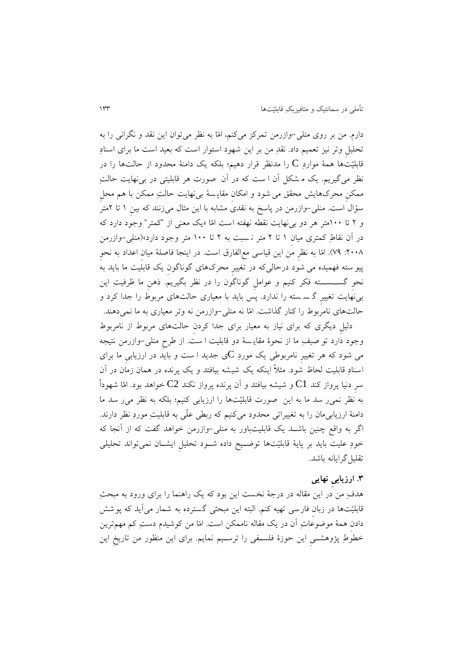دارم. من بر روی منلی-وازرمن تمرکز میکنم، امّا به نظر میتوان اين نقد و نگرانی را به تحلیلِ وتر نیز تعمیم داد. نقدِ من بر اين شهود استوار است که بعید است ما برای اسنادِ قابلیّتها همۀ مواردِ C را مدنظر قرار دهیم؛ بلکه يک دامنۀ محدود از حالتها را در نظر میگیريم. يک م شکل آن ا ست که در آن صورت هر قابلیتی در بینهايت حالتِ ممکنِ محرکهايش محقق می شود و امکانِ مقاي سۀ بینهايت حالتِ ممکن با هم محلِ س ؤال است . منلی-وازرمن در پاسخ به نقدی مشابه با اين مثال میزنند که بینِ 1 تا 1متر و 1 تا 111متر هر دو بینهايت نقطه نه ته است امّا »يک معنی از "کمتر" وجود دارد که در آن نقاطِ کمتری میانِ 1 تا 1 متر ن سبت به 1 تا 111 متر وجود دارد«)منلی-وازرمن .۲۰۰۸: ۷۹). امّا به نظرِ من اين قياسی مع|لفارق است. در اينجا فاصلۀ ميان اعداد به نحو پیو سته فهمیده می شود درحالیکه در تغییرِ محرکهای گوناگونِ يک قابلیت ما بايد به نحوِ گستتستتته فکر کنیم و عواملِ گوناگون را در نظر بگیريم. ذهنِ ما ظرفیتِ اين بینهايت تغییرِ گ س سته را ندارد. پس بايد با معیاری حالتهای مربوط را جدا کرد و حالتهای نامربوط را کنار گذاشت. امّا نه منلی-وازرمن نه وتر معیاری به ما نمیدهند.

دلیلِ ديگری که برای نیاز به معیار برای جدا کردنِ حالتهای مربوط از نامربوط وجود دارد تو صیفِ ما از نحوۀ مقاي سۀ دو قابلیت ا ست . از رحِ منلی-وازرمن نتیجه می شود که هر تغییرِ نامربوطی یک موردِ Cی جدید ا ست و باید در ارزیابیِ ما برای اسنادِ قابلیت لحاظ شود . مثالً اينکه يک شیشه بیافتد و يک پرنده در همان زمان در آن سرِ دنیا پرواز کند  $\bf C1$  و شیشه بیافتد و آن پرنده پرواز نکند  $\bf C2$  خواهد بود. امّا شهوداً به ُنظر نمی٫ سد ما به اين صورت قابلیّتها را ارزيابی کنیم؛ بلکه به نظر می٫ سد ما دامنۀ ارزيابیمان را به تغییراتی محدود میکنیم که ربطی علّی به قابلیتِ موردِ نظر دارند. اگر به واقع چنین باشـد یک قابلیتباور به منلی-وازرمن خواهد گفت که از آنجا که خودِ علیت بايد بر پايۀ قابلیّتها توضتتیح داده شتتود تحلیلِ ايشتتان نمیتواند تحلیلی تقلیلگرايانه باشد.

### **.9 ارزیابیِ نهایی**

هدفِ من در اين مقاله در درجۀ نخست اين بود که يک راهنما را برای ورود به مبحثِ قابلیّتها در زبانِ فارسی تهیه کنم. البته اين مبحثی گسترده به شمار میآيد که پوشش دادنِ همۀ موضوعاتِ آن در يک مقاله ناممکن است . امّا من کوشیدم دستِ کم مهمترين خطوطِ پژوهشــی اين حوزۀ فلســفی را ترســيم نمايم. برای اين منظور من تاريخ اين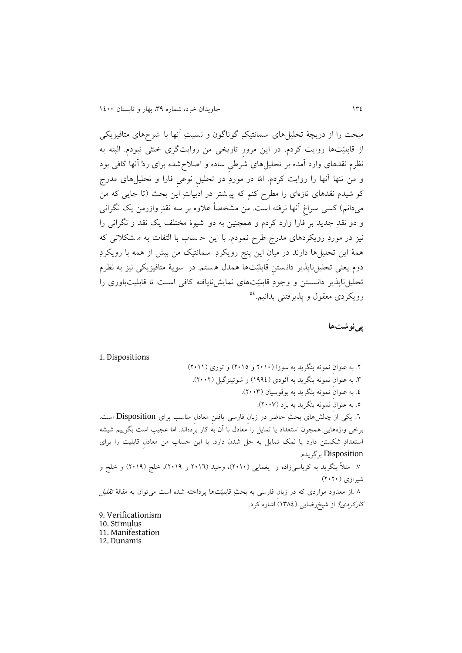مبحث را از دريچۀ تحلیلهای سمانتیکِ گوناگون و نسبتِ آنها با شرح های متافیزيکی از قابلیّتها روايت کردم. در اين مرورِ تاريخی من روايتگری خنثی نبودم. البته به نظرم نقدهای وارد آمده بر تحلیلِ های شرطی ساده و اصلاحشده برای ردِّ آنها کافی بود و من تنها آنها را روايت کردم. امّا در موردِ دو تحلیلِ نوعیِ فارا و تحلیلهای مدرج کو شیدم نقدهای تازهای را مطرح کنم که پی شتر در ادبیاتِ اين بحث )تا جايی که من میدانم) کسی سراغ آنها نرفته است. من مشخصاً علاوه بر سه نقدِ وازرمن يک نگرانی و دو نقدِ جديد بر فارا وارد کردم و همچنین به دو شیوۀ مختلف يک نقد و نگرانی را نیز در موردِ رويکردهای مدرج طرح نمودم. با اين حـ ساب با التفات به مـ شکلاتی که همۀ اين تحلیلها دارند در میانِ اين پنج رويکردِ سمانتیک من بیش از همه با رويکردِ دوم يعنی تحلیلناپذير دان ستنِ قابلیّتها همدل ه ستم . در سويۀ متافیزيکی نیز به نظرم تحلیلناپذير دانستتن و وجودِ قابلیّتهای نمايشنايافته کافی استت تا قابلیتباوری را رویکردی معقول و پذیرفتنی بدانیم.<sup>۵۶</sup>

**پینوشتها**

1. Dispositions

۲. به عنوان نمونه بنگريد به سوزا (۲۰۱۰ و ۲۰۱۵) و توری (۲۰۱۱). .9 به عنوانِ نمونه بنگريد به آئودی )1330( و شوئیتزگبل )1111(. .0 به عنوانِ نمونه بنگريد به بوقوسیان )1119(. .1 به عنوانِ نمونه بنگريد به برد )1117(. .1 يکی از چالشهای بحثِ حاضر در زبانِ فارسی يافتنِ معادلِ مناسب برای Disposition است. برخی واژههايی همچون استعداد يا تمايل را معادل با آن به کار بردهاند. اما عجیب است بگويیم شیشه استعدادِ شکستن دارد يا نمک تمايل به حل شدن دارد. با اين حساب من معادلِ قابلیت را برای Disposition برگزيدم. .7 مثالً بنگريد به کرباسیزاده و يغمايی )1111(، وحید )1111 و 1113(، خلج )1113( و خلج و شیرازی )1111( 1 .از معدود مواردی که در زبانِ فارسی به بحثِ قابلیّتها پرداخته شده است میتوان به مقالۀ تقلیل کارکردی؟ از شیخرضايی )1910( اشاره کرد. 9. Verificationism 10. Stimulus 11. Manifestation 12. Dunamis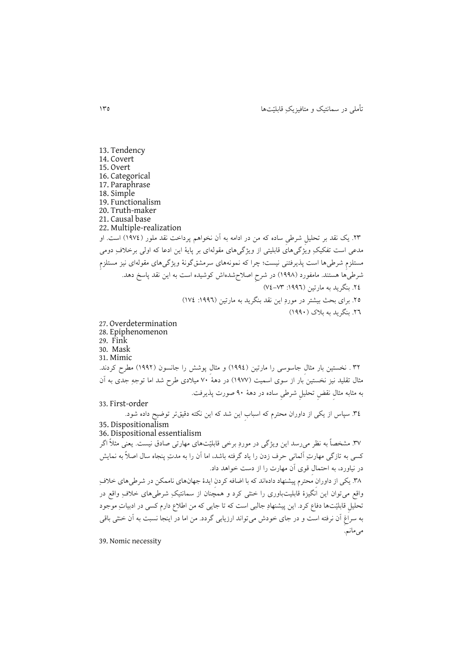تأملی در سمانتیک و متافیزيکِ قابلیّتها 191

13. Tendency 14. Covert 15. Overt 16. Categorical 17. Paraphrase 18. Simple 19. Functionalism 20. Truth-maker 21. Causal base 22. Multiple-realization .19 يک نقد بر تحلیلِ شر یِ ساده که من در ادامه به آن نخواهم پرداخت نقد ملور )1370( است. او مدعی است تفکیکِ ویژگیهای قابلیتی از ویژگیهای مقولهای بر پایۀ این ادعا که اولی برخلافِ دومی مستلزمِ شر یها است پذيرفتنی نیست؛ چرا که نمونههای سرمشقگونۀ ويژگیهای مقولهای نیز مستلزمِ شرطی ها هستند. مامفورد (۱۹۹۸) در شرحِ اصلاحِ شدهاش کوشیده است به این نقد پاسخ دهد. .10 بنگريد به مارتین ):1331 70-79( .11 برای بحث بیشتر در موردِ اين نقد بنگريد به مارتین ):1331 170( .11 بنگريد به بالک )1331( 27. Overdetermination 28. Epiphenomenon 29. Fink 30. Mask 31. Mimic ۳۲ . نخستین بار مثال جاسوسی را مارتین (۱۹۹٤) و مثال پوشش را جانسون (۱۹۹۲) مطرح کردند. مثال تقلید نیز نخستین بار از سوی اسمیت (۱۹۷۷) در دهۀ ۷۰ میلادی طرح شد اما توجهِ جدی به آن به مثابه مثالِ نقضِ تحلیلِ شر یِ ساده در دهۀ 31 صورت پذيرفت. 33. First-order .90 سپاس از يکی از داوران محترم که اسبابِ اين شد که اين نکته دقیقتر توضیح داده شود. 35. Dispositionalism 36. Dispositional essentialism .97 مشخصاً به نظر میرسد اين ويژگی در موردِ برخی قابلیّتهای مهارتی صادق نیست. يعنی مثالً اگر کسی به تازگی مهارتِ آلمانی حرف زدن را ياد گرفته باشد، اما آن را به مدتِ پنجاه سال اصالً به نمايش در نیاورد، به احتمالِ قوی آن مهارت را از دست خواهد داد. ۳۸. يکی از داوران محترم پیشنهاد دادهاند که با اضافه کردن ايدۀ جهانهای ناممکن در شرطیهای خلافِ واقع میتوان اين انگیزۀ قابلیتباوری را خنثی کرد و همچنان از سمانتیکِ شر یهای خالفِ واقع در تحلیلِ قابلیّتها دفاع کرد. این پیشنهادِ جالبی است که تا جایی که من اطلاع دارم کسی در ادبیاتِ موجود به سراغ آن نرفته است و در جای خودش میتواند ارزيابی گردد. من اما در اينجا نسبت به آن خنثی باقی می مانیه. 39. Nomic necessity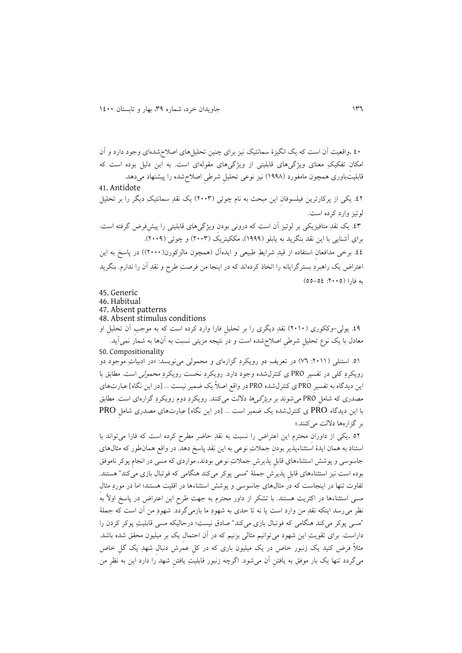01 .واقعیت آن است که يک انگیزۀ سمانتیک نیز برای چنین تحلیلهای اصالحشدهای وجود دارد و آن امکان تفکیکِ معنای ویژگیهای قابلیتی از ویژگیهای مقولهای است. به این دلیل بوده است که قابلیتباوری همچون مامفورد (۱۹۹۸) نیز نوعی تحلیل شرطی اصلاح شده را پیشنهاد میدهد. 41. Antidote .01 يکی از پرکارترين فیلسوفانِ اين مبحث به نام چوئی )1119( يک نقدِ سمانتیکِ ديگر را بر تحلیل لوئیز وارد کرده است. .09 يک نقدِ متافیزيکی بر لوئیز آن است که درونی بودنِ ويژگیهای قابلیتی را پیشفرض گرفته است. برای آشنايی با اين نقد بنگريد به يابلو )1333(، مککیتريک )1119( و چوئی )1113(. ٤٤. برخی مدافعان استفاده از قیدِ شرايطِ طبيعی و ايدهآل (همچون مالزکورن(٢٠٠٠)) در پاسخ به اين اعتراض يک راهبردِ بسترگرايانه را اتخاذ کردهاند که در اينجا من فرصتِ طرح و نقدِ آن را ندارم. بنگريد  $(00 - 02:1)$ به فارا (٢٠٠٥)

45. Generic

46. Habitual 47. Absent patterns

48. Absent stimulus conditions

.03 يولی-وککوری )1111( نقدِ ديگری را بر تحلیلِ فارا وارد کرده است که به موجبِ آن تحلیلِ او معادل با يک نوع تحلیلِ شر یِ اصالحشده است و در نتیجه مزيتی نسبت به آنها به شمار نمیآيد. 50. Compositionality

.11 استنلی ):1111 71( در تعريفِ دو رويکردِ گزارهای و محمولی مینويسد: »در ادبیاتِ موجود دو رويکردِ کلی در تفسيرِ PRO ی کنترل شده وجود دارد. رويکردِ نخست رويکردِ محم*ولی* است. مطابق با اين ديدگاه به تفسيرِ PRO ي كنترلشده PRO در واقع اصلاً يک ضمير نيست ... [در اين نگاه] عبارتهاي مصدری که شاملِ PRO میشوند بر ويژگیها داللت میکنند. رويکردِ دوم رويکردِ گزارهای است. مطابق با اين ديدگاه PRO ی کنترلشده يک ضمیر است ... ]در اين نگاه[ عبارتهای مصدری شاملِ PRO بر گزارهها داللت میکنند.«

11 .يکی از داورانِ محترم اين اعتراض را نسبت به نقدِ حاضر مطرح کرده است که فارا میتواند با استناد به همان ايدۀ استثناءپذير بودن جملاتِ نوعی به اين نقد پاسخ دهد. در واقع همان طور که مثال های جاسوسی و پوشش استثناءهای قابلِ پذيرشِ جمالتِ نوعی بودند، مواردی که مسی در انجامِ پوکر ناموفق بوده است نیز استثناءهای قابلِ پذيرشِ جملۀ "مسی پوکر میکند هنگامی که فوتبال بازی میکند" هستند. ت اوت تنها در اينجاست که در مثالهای جاسوسی و پوشش استثناءها در اقلیت هستند؛ اما در موردِ مثالِ مسی استثناءها در اکثريت هستند. با تشکر از داور محترم به جهتِ رحِ اين اعتراض در پاسخ اوالً به نظر میرسد اينکه نقدِ من وارد است يا نه تا حدی به شهودِ ما بازمیگردد. شهودِ من آن است که جملۀ "مسی پوکر میکند هنگامی که فوتبال بازی میکند" صادق نیست؛ درحالیکه مسی قابلیتِ پوکر کردن را داراست. برای تقويتِ اين شهود میتوانیم مثالی بزنیم که در آن احتمالِ يک بر میلیون محقق شده باشد. مثالً فرض کنید يک زنبور خاص در يک میلیون باری که در کلِ عمرش دنبالِ شهدِ يک گلِ خاص میگردد تنها يک بار موفق به يافتنِ آن میشود. اگرچه زنبور قابلیتِ يافتنِ شهد را دارد اين به نظرِ من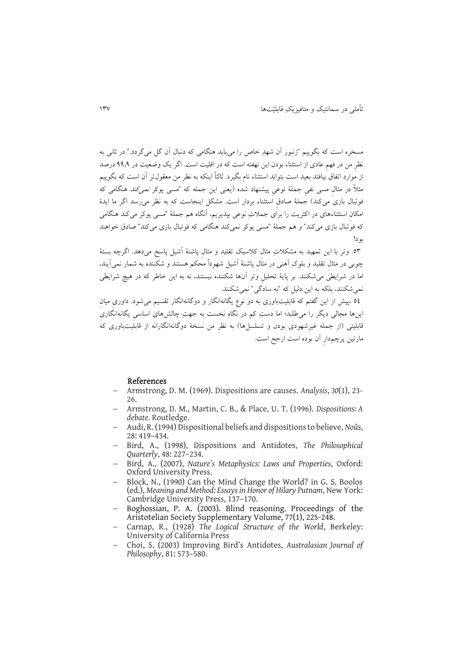مسخره است که بگويیم "زنبور آن شهدِ خاص را میيابد هنگامی که دنبالِ آن گل میگردد." در ثانی به نظرِ من در فهم عادی از استثناء بودن اين نهفته است که در اقليت است. اگر َيک وضعيت در ۹۹٫۹ درصد از موارد اتفاق بیافتد بعید است بتواند استثناء نام بگیرد. ثالثاً اینکه به نظرِ من معقول تر آن است که بگوییم مثالاً در مثال مسی نفی جملۀ نوعی پیشنهاد شده (یعنی این جمله که "مسی پوکر *نمیکند* هنگامی که فوتبال بازی می کند) جملۀ صادق استثناء بردار است. مشکل اينجاست که به نظر می رسد اگر ما ايدۀ امکانِ استثناءهای در اکثريت را برای جمالتِ نوعی بپذيريم، آنگاه هم جملۀ "مسی پوکر میکند هنگامی که فوّتبال بازی میکند" و هم جملۀ "مسی پوکر نمیکند هنگامی که فوتبال بازی میکند" صادق خواهند بود!

.19 وتر با اين تمهید به مشکالتِ مثالِ کالسیک تقلید و مثالِ پاشنۀ آشیل پاسخ میدهد. اگرچه بستۀ چوبی در مثالِ تقلید و بلوکِ آهنی در مثالِ پاشنۀ آشیل شهوداً محکم هستند و شکننده به شمار نمیآيند، اما در شرايطیَ میشکنند. بر پايۀ تحليل وَتر آنها شکننده نيستند، نه به اين خاطر که در هيچ شرايطی نمیشکنند، بلکه به اين دلیل که "به سادگی" نمیشکنند.

0٤ .پیش از این گفتم که قابلیتباوری به دو نوع یگانهانگار و دوگانهانگار تقسیم میشود. داوری میان اينها مجالی ديگر را می لبد؛ اما دستِ کم در نگاهِ نخست به جهتِ چالشهای اساسیِ يگانهانگاریِ قابلیتی (از جمله غیرشهودی بودن و تسلسل۱ها) به نظرِ من نسخۀ دوگانهانگارانه از قابلیتباوری کهُ مارتین پرچمدارِ آن بوده است ارجح است.

#### References

- Armstrong, D. M. (1969). Dispositions are causes. *Analysis*, *30*(1), 23- 26.
- Armstrong, D. M., Martin, C. B., & Place, U. T. (1996). *Dispositions: A debate*. Routledge.
- Audi, R. (1994) Dispositional beliefs and dispositions to believe, *Noûs*, 28: 419–434.
- Bird, A., (1998), Dispositions and Antidotes, *The Philosophical Quarterly*, 48: 227–234.
- Bird, A., (2007), *Nature's Metaphysics: Laws and Properties*, Oxford: Oxford University Press.
- Block, N., (1990) Can the Mind Change the World? in G. S. Boolos (ed.), *Meaning and Method: Essays in Honor of Hilary Putnam*, New York: Cambridge University Press, 137–170.
- Boghossian, P. A. (2003). Blind reasoning. Proceedings of the Aristotelian Society Supplementary Volume, 77(1), 225-248.
- Carnap, R., (1928) *The Logical Structure of the World*, Berkeley: University of California Press
- Choi, S. (2003) Improving Bird's Antidotes, *Australasian Journal of Philosophy*, 81: 573–580.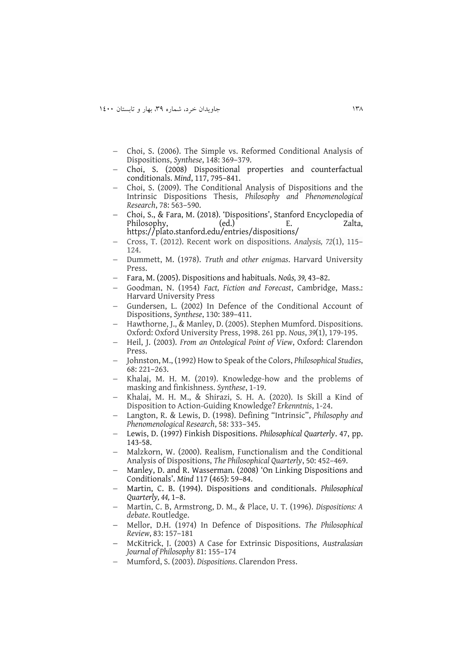- Choi, S. (2006). The Simple vs. Reformed Conditional Analysis of Dispositions, *Synthese*, 148: 369–379.
- Choi, S. (2008) Dispositional properties and counterfactual conditionals. *Mind*, 117, 795–841.
- Choi, S. (2009). The Conditional Analysis of Dispositions and the Intrinsic Dispositions Thesis, *Philosophy and Phenomenological Research*, 78: 563–590.
- Choi, S., & Fara, M. (2018). 'Dispositions', Stanford Encyclopedia of Philosophy, (ed.) E. Zalta, <https://plato.stanford.edu/entries/dispositions/>
- Cross, T. (2012). Recent work on dispositions. *Analysis, 72*(1), 115– 124.
- Dummett, M. (1978). *Truth and other enigmas*. Harvard University Press.
- Fara, M. (2005). Dispositions and habituals. *Noûs, 39,* 43–82.
- Goodman, N. (1954) *Fact, Fiction and Forecast*, Cambridge, Mass.: Harvard University Press
- Gundersen, L. (2002) In Defence of the Conditional Account of Dispositions, *Synthese*, 130: 389–411.
- Hawthorne, J., & Manley, D. (2005). Stephen Mumford. Dispositions. Oxford: Oxford University Press, 1998. 261 pp. *Nous*, *39*(1), 179-195.
- Heil, J. (2003). *From an Ontological Point of View*, Oxford: Clarendon Press.
- Johnston, M., (1992) How to Speak of the Colors, *Philosophical Studies*, 68: 221–263.
- Khalaj, M. H. M. (2019). Knowledge-how and the problems of masking and finkishness. *Synthese*, 1-19.
- Khalaj, M. H. M., & Shirazi, S. H. A. (2020). Is Skill a Kind of Disposition to Action-Guiding Knowledge? *Erkenntnis*, 1-24.
- Langton, R. & Lewis, D. (1998). Defining "Intrinsic", *Philosophy and Phenomenological Research*, 58: 333–345.
- Lewis, D. (1997) Finkish Dispositions. *Philosophical Quarterly*. 47, pp. 143-58.
- Malzkorn, W. (2000). Realism, Functionalism and the Conditional Analysis of Dispositions, *The Philosophical Quarterly*, 50: 452–469.
- Manley, D. and R. Wasserman. (2008) 'On Linking Dispositions and Conditionals'. *Mind* 117 (465): 59–84.
- Martin, C. B. (1994). Dispositions and conditionals. *Philosophical Quarterly, 44,* 1–8.
- Martin, C. B, Armstrong, D. M., & Place, U. T. (1996). *Dispositions: A debate*. Routledge.
- Mellor, D.H. (1974) In Defence of Dispositions. *The Philosophical Review*, 83: 157–181
- McKitrick, J. (2003) A Case for Extrinsic Dispositions, *Australasian Journal of Philosophy* 81: 155–174
- Mumford, S. (2003). *Dispositions*. Clarendon Press.